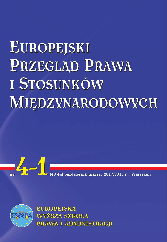# EUROPEJSKI PRZEGLĄD PRAWA I STOSUNKÓW MIEDZYNARODOWYCH





**EUROPEJSKA WYŻSZA SZKOŁA** PRAWA I ADMINISTRACJI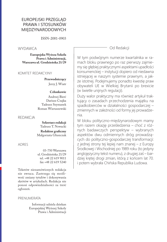#### EUROPEJSKI PRZEGLĄD PRAWA I STOSUNKÓW MIĘDZYNARODOWYCH

ISSN-2081-0903

#### **WYDAWCA**

**Europejska Wyższa Szkoła Prawa i Administracji, Warszawa ul. Grodzieńska 21/29**

#### KOMITET REDAKCYJNY

**Przewodniczący** Jerzy J. Wiatr

#### **Członkowie**

Andrzej Bierć Dariusz Czajka Tadeusz Szymanek Roman Wieruszewski

#### REDAKCJA

**Sekretarz redakcji** Tadeusz T. Nowacki

**Redaktor graficzny** Małgorzata Głuszczak

#### ADRES

03-750 Warszawa ul. Grodzieńska 21/29 tel. +48 22 619 9011 fax +48 22 619 5240

Tekstów niezamówionych redakcja nie zwraca. Zastrzega się możliwość zmiany tytułów i dokonywania skrótów w artykułach. Redakcja nie ponosi odpowiedzialności za treść ogłoszeń.

#### PRENUMERATA

Informacji udziela dziekan Europejskiej Wyższej Szkoły Prawa i Administracji Od Redakcji

W tym podwójnym numerze kwartalnika w ramach bloku prawnego po raz pierwszy zajmiemy się głębiej praktycznymi aspektami upadłości konsumenckiej – instytucji dopiero od niedawna istniejącej w naszym systemie prawnym, a jakże istotnej. Podejmujemy ponadto kwestię praw obywateli UE w Wielkiej Brytanii po brexicie (w świetle unijnych regulacji).

Duży walor praktyczny ma również artykuł traktujący o zasadach przechodzenia majątku na spadkobierców w działalności gospodarczej – zmiennych w zależności od formy jej prowadzenia.

W bloku polityczno-międzynarodowym mamy tym razem okazję prześledzenia – choć z różnych badawczych perspektyw – wybranych aspektów dwu odmiennych dróg prowadzących do polityczno-gospodarczej transformacji: z jednej strony tej lepiej nam znanej – z Europy Środkowej i Wschodniej po 1989 roku (to jedyny anglojęzyczny tekst numeru), z drugiej zaś – bardziej krętej drogi zmian, którą z końcem lat 70. i potem wybrała Chińska Republika Ludowa.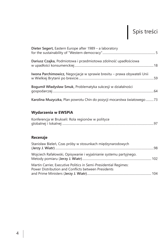# Spis treści

| Dieter Segert, Eastern Europe after 1989 - a laboratory                 |  |
|-------------------------------------------------------------------------|--|
| Dariusz Czajka, Podmiotowa i przedmiotowa zdolność upadłościowa         |  |
| Iwona Parchimowicz, Negocjacje w sprawie brexitu – prawa obywateli Unii |  |
| Bogumił Władysław Smuk, Problematyka sukcesji w działalności            |  |
| Karolina Muzyczka, Plan powrotu Chin do pozycji mocarstwa światowego 73 |  |

# **Wydarzenia w EWSPiA**

| Konferencja w Brukseli: Rola regionów w polityce |  |
|--------------------------------------------------|--|
|                                                  |  |

#### **Recenzje**

| Stanisław Bieleń, Czas próby w stosunkach międzynarodowych                                                              |  |
|-------------------------------------------------------------------------------------------------------------------------|--|
| Wojciech Rafałowski, Opisywanie i wyjaśnianie systemu partyjnego.                                                       |  |
| Martin Carrier, Executive Politics in Semi-Presidential Regimes:<br>Power Distribution and Conflicts between Presidents |  |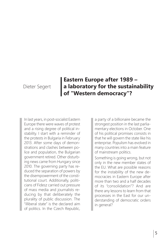### Dieter Segert

# **Eastern Europe after 1989 – a laboratory for the sustainability of "Western democracy"?**

In last years, in post-socialist Eastern Europe there were waves of protest and a rising degree of political instability. I start with a reminder of the protests in Bulgaria in February 2013. After some days of demonstrations and clashes between police and population, the Bulgarian government retired. Other disturbing news came from Hungary since 2010. The governing party has reduced the separation of powers by the disempowerment of the constitutional court. Additionally, politicians of Fidesz carried out pressure of mass media and journalists reducing by that deliberately the plurality of public discussion. The "illiberal state" is the declared aim of politics. In the Czech Republic,

a party of a billionaire became the strongest position in the last parliamentary elections in October. One of his political promises consists in that he will govern the state like his enterprise. Populism has evolved in many countries into a main feature of mainstream politics.

Something is going wrong, but not only in the new member states of the EU. What are possible reasons for the instability of the new democracies in Eastern Europe after more than two and a half decades of its "consolidation"? And are there any lessons to learn from that processes in the East for our understanding of democratic orders in general?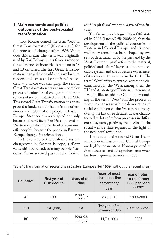#### **1. Main economic and political outcomes of the post-socialist transformation**

Janos Kornai coined the term "second Great Transformation" (Kornai 2006) for the process of changes after 1989. What does this mean? The term was originally used by Karl Polanyi in his famous work on the emergence of industrial capitalism in 18 and 19 centuries. The first Great Transformation changed the world and gave birth to modern industries and capitalism. The society at a whole was changing. The second Great Transformation was again a complex process of coincidental changes in different spheres of society. It started in the late 1980s. This second Great Transformation has on its ground a fundamental change in the orientations and values of the people in Eastern Europe: State socialism collapsed not only because of hard facts like his compared to Western capitalism lower level of economic efficiency but because the people in Eastern Europe changed its orientations.

In the run-up to the profound system changeover in Eastern Europe, a silent value shift occurred: to many people, "socialism" now seemed passé and it looked as if "capitalism" was the wave of the future.

The German sociologist Claus Offe stated in 2008 (Fuchs/Offe 2008: 2), that the development of the political economies of Eastern and Central Europe, and its social welfare systems, have been shaped by two sets of determinants, by the past and by the West. The term "past" refers to the material, political and cultural legacies of the state socialist system and the collective experiences of its crisis and breakdown in the 1980s. The term "West" refers to external actors and circumstances in the West, among them the EU and its strategy of Eastern enlargement. I would like to add to Offe's understanding of the term "West" still the process of systemic changes which the democratic and social capitalism of the West run through during the last three decades. It was characterized by lots of reform processes in different subsystems, partly by the decline of the social welfare state regimes in the light of the neoliberal revolution.

The results of the second Great Transformation in Eastern and Central Europe are highly inconsistent. Kornai pointed to *both* successes and disappointments when he drew a general balance in 2006.

| Countries <sup>1</sup> | First year of<br><b>GDP</b> decline | Years of de-<br>cline | Years of most<br>drastic decline<br>percentage/<br>year | Year of return<br>to the former<br>GDP per head<br>in 1989 |
|------------------------|-------------------------------------|-----------------------|---------------------------------------------------------|------------------------------------------------------------|
| AL                     | 1990                                | 1990-92,<br>1997      | 28 (1991)                                               | 1999/2000                                                  |
| <b>BIH</b>             | $n.a.$ (War)                        | n.a.                  | First year of re-<br>covering: 1996                     | 2008 only 85%                                              |
| <b>BG</b>              | 1990                                | 1990-93,<br>1996/97   | 11,7 (1991)                                             | 2006                                                       |

Table 1: Transformation recessions in Eastern Europe after 1989 (without the recent crisis)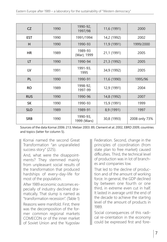| CZ         | 1990 | 1990-92,<br>1997/98     | 11,6 (1991) | 2000          |
|------------|------|-------------------------|-------------|---------------|
| <b>EST</b> | 1990 | 1991/1994               | 14,2 (1992) | 2002          |
| н          | 1990 | 1990-93                 | 11,9 (1991) | 1999/2000     |
| HR         | 1989 | 1989-93<br>(War); 1999  | 21,1 (1991) | 2005          |
| LT         | 1990 | 1990-94                 | 21,3 (1992) | 2005          |
| LV         | 1991 | 1991-93,<br>1995        | 34,9 (1992) | 2005          |
| <b>PL</b>  | 1990 | 1990-91                 | 11,6 (1990) | 1995/96       |
| <b>RO</b>  | 1989 | 1998-92,<br>1997-99     | 12,9 (1991) | 2004          |
| <b>RUS</b> | 1990 | 1990-96                 | 14,8 (1992) | 2007          |
| <b>SK</b>  | 1990 | 1990-93                 | 15,9 (1991) | 1999          |
| <b>SLO</b> | 1989 | 1989-91                 | 8,9 (1991)  | 1997          |
| <b>SRB</b> | 1990 | 1990-93,<br>1999 (Wars) | 30,8 (1993) | 2008 only 73% |

Sources of the data Kornai 2006: 213; Melzer 2003: 89, Clement et al. 2002, EBRD 2009, countries and topics (latter for column 5).

Kornai named the second Great Transformation "an unparalleled success story" (225).

And, what were the disappointments? They stemmed mainly from unpleasant social results of the transformation that produced hardships of every-day-life for most of the population.

After 1989 economic outcomes especially of industry declined dramatically. That slump is named as "transformation recession". (Table 1) Reasons were manifold. First, there was the decomposition of the former common regional markets COMECON or of the inner market of Soviet Union and the Yugoslav Federation. Second, change in the principles of coordination (from state plan to free market) caused difficulties. Third, the technical level of production was in lot of branches and companies low.

That led to the decline of production and of the amount of working force. In general, the GDP declined by between one fourth or one third, in extreme even cut in half. It lasted in average until the end of the decade to achieve the starting level of the amount of products in 1989.

Social consequences of this radical re-orientation in the economy could be expressed first and fore-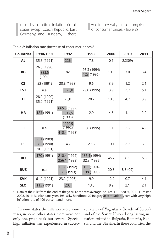most by a radical inflation (in all states except Czech Republic, East Germany, and Hungary) – there was for several years a strong rising of consumer prices. (Table 2)

| Table 2: Inflation rate (Increase of consumer prices)* |  |
|--------------------------------------------------------|--|
|--------------------------------------------------------|--|

| <b>Countries</b> | 1990/1991                               | 1992                                    | 1995                        | 2000 | 2010    | 2011 |
|------------------|-----------------------------------------|-----------------------------------------|-----------------------------|------|---------|------|
| <b>AL</b>        | 35,5 (1991)                             | 226                                     | 7,8                         |      | 2.2(09) |      |
| <b>BG</b>        | 26,3 (1990)<br>333,5<br>(1991)          | 82                                      | 96,3 (1994)<br>123 (1996)   | 10,3 | 3.0     | 3.4  |
| CZ               | 52 (1991)                               | 20,8 (1993)                             | 9,6                         | 3,9  | 1.2     | 2.1  |
| <b>EST</b>       | n.a.                                    | 1076,0                                  | 29,0 (1995)                 | 3,9  | 2.7     | 5.1  |
| н                | 28,9 (1990)<br>35,0 (1991)              | 23,0                                    | 28,2                        | 10,0 | 4.7     | 3.9  |
| <b>HR</b>        | 123 (1991)                              | 665,5 (1992)<br>2,0<br>1517,5<br>(1993) |                             | 4,6  | 1.1     | 2.2  |
| LT               | n.a.                                    | 1020,5<br>(1992)<br>410,4 (1993)        | 39,6 (1995)                 | 1,1  | $-1.2$  | 4.2  |
| <b>PL</b>        | 251 (1989)<br>585 (1990)<br>70,3 (1991) | 43                                      | 27,8                        | 10,1 | 2.7     | 3.9  |
| <b>RO</b>        | 170 (1991)                              | 210,4 (1992)<br>256,1 (1993)            | 136,4 (1994)<br>32,3 (1995) | 45,7 | 6.1     | 5.8  |
| <b>RUS</b>       | n.a.                                    | 1526 (1992)<br>875 (1993)               | 311 (1994)<br>198 (1995)    | 20,8 | 8.8(09) |      |
| <b>SVK</b>       | 61,2 (1991)                             | 23,2 (1993)                             | 9,9                         | 12,2 | 0.7     | 4.1  |
| <b>SLO</b>       | 115 (1991)                              | 207                                     | 13,5                        | 8,9  | 2.1     | 2.1  |

Data at the rule from the end of the year, 12 months average. Source: EBRD 2007, 2011; Eurostat 2008, 2011; Russlandanalysen 195; wiiw handbook 2010; grey accentuation: years with very high inflation rate of 100 percent and more.

In some states, the inflation lasted some years, in some other states there were not only one price peak but several. Special high inflation was experienced in successor states of Yugoslavia (beside of Serbia) and of the Soviet Union. Long lasting inflation existed in Bulgaria, Romania, Russia, and the Ukraine. In these countries, the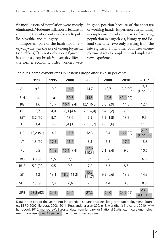financial assets of population were mostly eliminated. Moderate inflation is feature of economic transition only in Czech Republic, Slovakia, and Hungary.

Important part of the hardships in every-day-life was the rise of unemployment. (see table 3) It is not only about figures, it is about a deep break in everyday life: In the former economic order workers were

in good position because of the shortage of working hands. Experiences in handling unemployment had only parts of working population in Yugoslavia, Hungary and Poland (the latter two only starting from the late eighties). In all other countries unemployment was a completely and unpleasant new experience.

|            | 1990      | 1995 | 2000         | 2005           | 2008      | 2010     | 2013*            |
|------------|-----------|------|--------------|----------------|-----------|----------|------------------|
| AL         | 9,5       | 10,2 | 16,8         | 14,7           | 12,7      | 13,9(09) | 13.3<br>(Dec.12) |
| BIH        | n.a.      | n.a. | 39,6         | 44,5           | 40,6      | 42,4(09) |                  |
| BG         | 1,6       | 13,7 | 16,4 [9,4]   | 12,1 [6,0]     | 5,6 [2,9] | 11,3     | 12.4             |
| <b>CR</b>  | 0,7       | 4,0  | 8,3[4,4]     | 7,5[4,4]       | 5,4 [2,2] | 7,2      | 7.0              |
| <b>EST</b> | 3,7(92)   | 9.7  | 13,6         | 7,9            | 5,5[1,8]  | 13,8     | 9.9              |
| Н          | 1,4       | 10,2 | $6,4$ [3,1]  | 7,3 [3,2]      | 7,8 [3,6] | 11,0     | 11.1             |
| <b>HR</b>  | 13,2 (91) | 14,5 | 15,7         | 12,3           | 8,4       | 16,7(09) | 21.9<br>(Dec.12) |
| LT         | 1,3(92)   | 17,5 | 16,4         | 8,3            | 5,8       | 17,0     | 13.3             |
| PL         | 6, 5      | 14,9 | $15,1$ [7,4] | 17,6<br>[10,3] | 7,1 [2,4] | 9,6      | 10.6             |
| <b>RO</b>  | 3,0(91)   | 9,5  | 7,1          | 5,9            | 5,8       | 7,3      | 6.6              |
| <b>RUS</b> | 5,2 (92)  | 9,5  | 9,8          | 7,2            | 6,3       | 8,6      |                  |
| <b>SK</b>  | 1,2       | 13,1 | 18,0 [11,3]  | 15,3<br>[11,7] | 9,5[6,6]  | 13,8     | 14.9             |
| <b>SLO</b> | 7,3 (91)  | 7,4  | 6,6          | 7,2            | 4,4       | 8,0      | 8.0              |
| <b>SRB</b> | 23,8 (92) | 24,2 | 24,4         | 27,2           | 24,0      | 24,9(09) | 23.1<br>(Oct.12) |

Table 3: Unemployment rates in Eastern Europe after 1989 in per cent\*

Data at the end of the year if not indicated; in square brackets: long-term unemployment; Sources: EBRD 2007, Eurostat 2008, 2011; Russlandanalysen 200, p. 5; worldbank indicators 2010; wiiw handbook 2010; marked by\*: Eurostat data from January, or National Statistics. In case unemployment have risen over 15 percent, the figure is marked grey.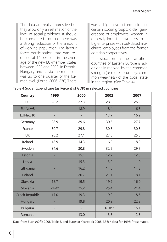The data are really impressive but they allow only an estimation of the level of social problems. It should be considered too that there was a strong reduction of the amount of working population. The labour force participation rate was reduced at 17 per cent in the average of the new EU-member states between 1989 and 2003. In Estonia, Hungary and Latvia the reduction was up to one quarter of the former level. (Kornai 2006: 230) There

was a high level of exclusion of certain social groups: older generations of employees, women in general, industrial workers from big enterprises with out-dated machines, employees from the former agrarian cooperatives.

The situation in the transition countries of Eastern Europe is additionally marked by the common strength (or more accurately: common weakness) of the social state in the region. (See Table 4)

| <b>Country</b>        | 1995                    | 2000<br>2002 |          | 2007 |  |
|-----------------------|-------------------------|--------------|----------|------|--|
| <b>EU15</b>           | 28.2                    | 27.3<br>28.0 |          | 25.9 |  |
| <b>EU New8</b>        |                         | 18.9         | 18,4     | 16.8 |  |
| EUNew10               |                         |              | 17.7     | 16.2 |  |
| Germany               | 28.9                    | 29.6         | 30.5     | 27.7 |  |
| France                | 30.7                    | 29.8         | 30.6     | 30.5 |  |
| UK                    | 28.2                    | 27.1         | 27.6     | 25.3 |  |
| Ireland               | 18.9                    | 14.3         | 16.0     | 18.9 |  |
| Sweden                | 34.6                    |              | 32.5     | 29.7 |  |
| Estonia               |                         | 15.1         | 12.7     | 12.5 |  |
| Latvia                |                         | 15.3         | 13.9     | 11.0 |  |
| Lithuania             |                         | 16.2         | 14.0     | 14.3 |  |
| Poland                |                         | 20.7         | 21.1     | 18.1 |  |
| Slovakia              | 18.7                    | 19.5         | 19.2     | 16.0 |  |
| Slovenia              | $24.4*$<br>25.2<br>25.4 |              |          | 21.4 |  |
| <b>Czech Republic</b> | 17.0                    |              | 19.9     | 18.6 |  |
| Hungary               | 19.8                    |              | 20.9     | 22.3 |  |
| <b>Bulgaria</b>       |                         |              | $16.0**$ | 15.1 |  |
| Romania               |                         | 13.0         | 13.6     | 12.8 |  |

Table 4 Social Expenditure (as Percent of GDP) in selected countries

Data from Fuchs/Offe 2008 Table 5, and Eurostat Yearbook 2008: 336; \* data for 1996; \*\*estimated.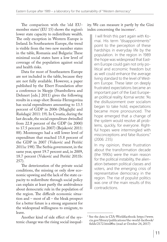The comparison with the 'old EUmember states' (EU 15) shows the region's lower state capacity to redistribute wealth. The only exception in Western Europe is Ireland. In Southeastern Europe, the trend is visible from the two new member states in the table, Romania and Bulgaria: These minimal social states have a low level of coverage of the population against social and health risks.

Data for most of Southeastern Europe are not included in the table, because they are not fully available. However, a paper published by the Ebert Foundation after a conference in Skopje (Stambolieva and Dehnert [eds.] 2011) gives the following results in a snap-shot: Bosnia-Herzegovina has social expenditures amounting to 13.5 percent of GDP in 2006 (Maglajlić and Rašidagić 2011: 19). In Croatia, during the last decade, the social expenditure dwindled from 22.8 percent of the GDP (in 2000) to 17.5 percent (in 2007) (Bejaković 2011: 88). Montenegro had a still lower level of expenditure that reached 15.8 percent of the GDP in 2007 (Vuković and Perišić 2011a*:* 198). The Serbia government, in the same year, spent 19.7 percent and, in 2009, 18.7 percent (Vuković and Perišić 2011b: 257).

The deterioration of the private social conditions, the missing or only slow economic upswing and the lack of the state capacity to redistribute through social policy can explain at least partly the ambivalence about democratic rule in the population of the region. The difficult economic situation and – most of all – the bleak prospect for a better future is a strong argument for the widespread willingness to emigrate, to leave.

Another kind of side effect of the systemic change was the rising social inequal-

#### ity. We can measure it partly by the Gini index concerning the incomes<sup>1</sup>.

 I will finish this part again with Kornai. His term "disappointments" point to the perception of these hardships in everyday life by the population. In the region in 1989 the hope was widespread that Eastern Europe could gain not only political and economic freedom but as well could enhance the average living standard to the level of Western Europe. These later on deeply frustrated expectations became an important part of the East European political reality. Kornai wrote: "As the disillusionment over socialism began to take hold, expectations became more pronounced. The hope emerged that a change of the system would resolve all problems, quickly, for everyone. Rightful hopes were intermingled with misconceptions and false illusions." (2006: 235)

In my opinion, these frustration about the transformation decade (the 1990s) were the main reason for the political instability, the alienation between political classes and voters, and the emerging crisis of representative democracy in the region. The rise of populist politics was one of the main results of this contradictions.

<sup>1</sup> See the data in CIA-Worldfactbook: https://www. cia.gov/library/publications/the-world-factbook/ fields/2172.html#bu (read at October 24, 2017)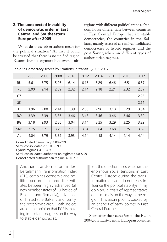#### **2. The unexpected instability of democratic order in East Central and Southeastern Europe after 2005**

What do these observations mean for the political situation? At first it could be stressed that there is no unified region Eastern Europe anymore but several subregions with different political trends. Freedom house differentiate between countries in East Central Europe that are stable democracies, the countries in the Balkans, mainly assessed as semi-consolidated democracies or hybrid regimes, and the post-Soviet, where are different types of authoritarian regimes.

|            | 2005 | 2006 | 2008 | 2010 | 2012 | 2014 | 2015 | 2016 | 2017 |
|------------|------|------|------|------|------|------|------|------|------|
| <b>RU</b>  | 5.61 | 5.75 | 5.96 | 6.14 | 6.18 | 6.29 | 6.46 | 6.5  | 6.57 |
| PL         | 2.00 | 2.14 | 2.39 | 2.32 | 2.14 | 2.18 | 2.21 | 2.32 | 2.57 |
| CZ         |      |      |      |      |      |      |      |      | 2.25 |
| <b>SK</b>  |      |      |      |      |      |      |      |      | 2.61 |
| Н          | 1.96 | 2.00 | 2.14 | 2.39 | 2.86 | 2.96 | 3.18 | 3.29 | 3.54 |
| <b>RO</b>  | 3.39 | 3.39 | 3.36 | 3.46 | 3.43 | 3.46 | 3.46 | 3.46 | 3.39 |
| BG         | 3.18 | 2.93 | 2.86 | 3.04 | 3.14 | 3.25 | 3.29 | 3.25 | 3.29 |
| <b>SRB</b> | 3.75 | 3.71 | 3.79 | 3.71 | 3.64 | 3.64 | 3.68 | 3.75 | 3.82 |
| AL         | 4.04 | 3.79 | 3.82 | 3.93 | 4.14 | 4.18 | 4.14 | 4.14 | 4.14 |

Table 5: Democracy scores by "Nations in transit" (2005-2017)

Consolidated democracy: 1.00-2.99 Semi-consolidated d.: 3.00-3.99 Hybrid regimes: 4.00-4.99 Semi-consolidated authoritarian regime: 5.00-5.99 Consolidated authoritarian regime: 6.00-7.00

Another transformation index, Bertelsmann Transformation Index (BTI), combines economic and political performance and differentiates between highly advanced (all new member states of EU beside of Bulgaria and Romania), advanced or limited (the Balkans and, partly, the post-Soviet area). Both indices are on the opinion that ECE is making important progress on the way to stable democracies.

But the question rises whether the enormous social tensions in East Central Europe during the transformation decade do not really influence the political stability? In my opinion, a crisis of representative democracy is on the way in the region. This assumption is backed by an analysis of party politics in East Central Europe.

Soon after their accession to the EU in 2004, four East-Central European countries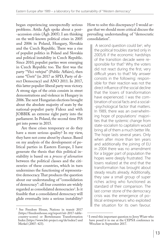began experiencing unexpectedly serious problems. Attila Ágh spoke about a post- -accession crisis (Ágh 2005). I am thinking on the well-known political crises in 2005 and 2006 in Poland, Hungary, Slovakia and the Czech Republic. There was a rise of populist politics in Poland and Slovakia and political instability in Czech Republic. Since 2010, populist parties were emerging in Czech Republic too. The first was the party "Věci veřejné" (Public Affairs), then came "Úsvit" (in 2017 as SPD, Party of direct Democracy) and ANO 2011. In 2017, this latter populist-liberal party won victory. A strong sign of the crisis consists in street demonstrations and violence in Hungary in 2006. The next Hungarian elections brought about the absolute majority of seats by the national-populist party Fidesz and with JOBBIK an extreme right party into the parliament. In Poland, the second time PiS get into power in 2015.

Are these crises temporary or do they have a more serious quality? In my view, they have not come about by chance. Based on my analysis of the development of political parties in Eastern Europe, I have generate the thesis that this political instability is based on a *process of alienation* between the political classes and the citizenries of these countries, which in turn undermines the functioning of representative democracy. That produces the question about our understanding of "consolidation of democracy": all four countries are widely regarded as consolidated democracies<sup>2</sup>. Is it feasible that a consolidated democracy will glide eventually into a serious instability?

How to solve this discrepancy? I would argue that we should more critical discuss the prevailing understanding of "democratic consolidation".

A second question could be<sup>3</sup>, why the political troubles started only in 2005/6 if the economic hardships of the transition decade were responsible for that? Why the voters did not react during the first, very difficult years to that? My answer consists in the following: responsible for their reaction was not the direct influence of the social decline that the losers of transformation have experienced. I was the combination of social facts and a social- -psychological factor that matters. In 1989, there was an overwhelming hope of populations' majorities that the systemic change from state-socialism to capitalism would bring all of them a much better life. The hope lasts several years. Only when after more than ten years and additionally the joining of EU in 2004 there was no amendment for a bigger part of population the hopes were deeply frustrated. The losers realized at the end that the transformation has brought about steady results already. Additionally, they saw a small group of super riches acting who functioned as standard of their comparison. The last corner stone of the democracy crisis was the emergence of political entrepreneurs who exploited the situation for its own favour.

<sup>2</sup> See Freedom House, Nations in transit 2017 (https://freedomhouse.org/report/nit-2017-tablecountry-scores) or Bertelsmann Transformation Index (https://www.bti-project.org/de/index/) and Merkel (2007: 423).

<sup>3</sup> I owed this important question to Jerzy Wiatr who have posed it to me at the CEPSA conference in Wrocław in September 2017.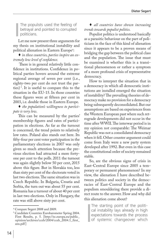The populists used the feeling of betrayal and pointed to corrupted politicians.

Let me now present three arguments for my thesis on institutional instability and political alienation in Eastern Europe<sup>4</sup>:

♦ *in these countries, parties inspire an extremely low level of confidence.*

 There is in general relatively little confidence in institutions. Confidence in political parties hovers around the extreme regional average of seven per cent (i.e., eighty-two per cent do not trust the parties)<sup>5</sup>. It is useful to compare this to the situation in the EU-15. In those countries these figures were at fifteen per cent in 2003, i.e. double those in Eastern Europe.

♦ *the population's willingness to participate is very low*.

This can be measured by the parties' membership figures and rates of participation in elections. As far as the turnout is concerned, the trend points to relatively low rates. Poland also stands out here. Its fifty-four per cent voter participation in the parliamentary elections in 2007 was only given so much attention because the previous election had attracted a mere fortyone per cent to the polls. 2011 the turnout was again slightly below 50 per cent, 2015 above this figure. But in Slovakia too, less than sixty per cent of the electorate voted in last two elections. The same situation was in Czech Republic. In Bulgaria, Croatia and Serbia, the turn out was about 55 per cent. Romania has a turnout of about 40 per cent in last two elections. Only in Hungary, the rate was still above sixty per cent.

#### ♦ *all countries have shown increasing trends towards populist politics.*

Populist politics is understood basically as a parasitic behaviour on the part of politicians in the face of this kind of alienation since it appears to be a proven means of bridging the gap between the political class and the population. The issue that must be examined is whether this is a transitional phenomenon or rather a symptom of a more profound crisis of representative democracy.

How to interpret the situation that in a democracy in which all democratic institutions are installed emerged the situation of instability? The prevailing theories of democracy make no provision for a democracy being subsequently deconsolidated. But our assumptions are based on experiences from the Western European past where such retrograde developments did not occur in the time after WWII. The interwar period is in my opinion not comparable: The Weimar Republic was not a consolidated democracy when it fell. Other counter argument could come from Italy were a new party system developed after 1992. But even in this case the constitutional order of society remained stable.

So, are the obvious signs of crisis in East-Central Europe since 2005 a temporary or permanent phenomenon? In my view, the alienation I have described between politics and society in the democracies of East-Central Europe and the populism smouldering there provide a direct route to the answer. How and why did this alienation come about?

The starting point of the political instability lays already in high expectations towards the process of systemic changeover which

<sup>4</sup> Compare Segert 2008 and 2009.

<sup>5</sup> Candidate Countries Eurobarometer Spring 2004. First Results, p. 5. [http://ec.europa.eu/public\_ opinion/archives/cceb/2004/cceb\_2004.1\_first\_ anx.pdf ]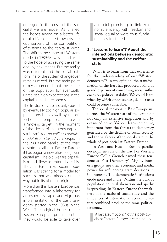emerged in the crisis of the socialist welfare model. As it failed the hopes aimed on a better life of all citizens shifted towards the counterpart of the competition of systems, to the capitalist West. The shift to the successful Western model in 1989/90 was then linked to the hope of achieving the same goal by new means. But the reality was different and the social bottom line of the system changeover remains mixed. But the main point of my argument is not the blame of the population for eventually unrealistic high expectations in the capitalist market economy.

The frustrations are not only caused by eventually too high popular expectations but as well by the effect of an attempt to catch up with a "moving target". In the moment of the decay of the "consumption socialism" *the prevailing capitalist model itself started to change*. In the 1980s and parallel to the crisis of state socialism in Eastern Europe it has begun a new phase of global capitalism. The old welfare capitalism had likewise entered a crisis. Thus the Eastern European population was striving for a model for success that was already on the way out in its place of origin.

More than this: Eastern Europe was transformed into a laboratory for an especially rapid and vigorous implementation of the basic tendency started in the 1980s in the West. The original hopes of the Eastern European population that they would be able to take over

a model promising to link economic efficiency with freedom and social equality were thus fundamentally frustrated.

#### **3. "Lessons to learn"? About the interactions between democratic sustainability and the welfare state**

What is to learn from that experience for the understanding of our "Western democracy"? In my opinion, the transformation of the East has produced a kind of grand experiment concerning social influences on political stability. We could learn when, by which circumstances, democracies could become vulnerable.

The social tensions in East Europe influence the Western part of the continent not only via extensive migration and by organised crime. We can learn something important from the threats to democracy generated by the decline of social security and the weakness of the social state in the whole of post-socialist Eastern Europe.

In West and East of Europe parallel developments are on the way. For Western Europe Collin Crouch named these tendencies "Post-Democracy": Mighty interests groups use their economic and media power for influencing state decisions in its interests. The democratic institutions erode more and more. Within the bulk of population political alienation and apathy is spreading. In Eastern Europe the weakness of the national social state and the influences of international economic actors combined produce the same political tendency.

 A last assumption: Not the post-socialist Eastern Europe is catching up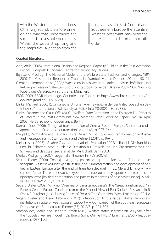with the Western higher standards. Other way round: it is a forerunner on the way that undermines the social basis of a stable democracy. Within the populist uprising and the majorities' alienation from the political class in East Central and Southeastern Europe the attentive Western observant may view the future threats of its on democratic order.

#### Quoted literature:

- Ágh, Attila (2005): Institutional Design and Regional Capacity Building in the Post-Accession Period, Budapest: Hungarian Centre for Democracy Studies.
- Bejaković, Predrag: The National Model of the Welfare State Tradition and Changes: 1991- 2010. The Case of the Republic of Croatia, in: Stambolieva and Dehnert (2011), p. 58–91.
- Clement, Hermann et al (2002): Wachstum in schwierigem Umfeld Wirtschaftslage und Reformprozesse in Ostmittel- und Südosteuropa sowie der Ukraine 2001/2002, Working Papers des Osteuropa-Instituts 242, München.
- EBRD 2009: EBDR Homepage, Countries and Topics, in: http://www.ebrd.com/country/index.htm [read at 2009.07.29]
- Ehrke, Michael (2006: 1): Ungarische Unruhen ein Symptom der zentraleuropäischen Beitrittskrise? Internationale Politikanalyse: Politik Info (10/2006), Bonn: FES.
- Fuchs, Susanne and Claus Offe (2008): Welfare State Formation in the Enlarged EU. Patterns of Reform in the Post-Communist New Member States, Working Papers, No. 14, April 2008, Hertie School of Governance, Berlin.
- Kornai, János (2006): The great transformation of Central Eastern Europe. Success and disappointment. "Economics of transition" vol. 14 (2), p. 207–244.
- Maglajlić, Reima Ana and Rašidagić, Ešref Kenan: Socio-Economic Transformation in Bosnia and Herzegovina, in: Stambolieva and Dehnert (2011), p. 16–40.
- Melzer, Alex (2003): 12 Jahre Ostzusammenarbeit, Evaluation 2003/4, Band 1: Die Transition und ihr Schatten, hrsg. durch die Direktion für Entwicklung und Zusammenarbeit der Schweiz und das Staatssekretariat der Wirtschaft, Bern 2003.
- Merkel, Wolfgang (2007): Gegen alle Theorie? In: PVS 2007/3.
- Segert, Dieter (2008): Трансформация и развитие партий в Восточной Европе после завершения переходного десятилетия [engl.: Transformation and development of parties in Eastern Europe after the end of transition decade], in: E.J. Meleschkina/G.M. Michaleva (eds.): Политическая конкуренция и партии в государствах постсоветского пространства [Political competition and parties in the states of post-soviet space], Moskva: INION RAW 2009, s. 20–43.
- Segert, Dieter (2009): Why no 'Dilemma of Simultaneousness'? The 'Great Transformation' in Eastern Central Europe Considered from the Point of View of Post-Socialist Research, in R. Frank/S. Burghart (eds.): Driving Forces of Socialist Transformation, Wien: Praesens, p. 89-112.
- Segert, Dieter and Heinz Faßmann (2012): Introduction to the Issue: 'Stable democratic institutions in spite of weak popular support – A Comparison of the Southeast European Democracies', Southeastern Europe (36) 2012/3, p. 291–303.
- Stambolieva, Marija and Dehnert, Stefan (2011): Welfare states in transition. 20 years after the Yugoslav welfare model, FES, Buero Sofia. Online http://library.fes.de/pdf-files/bueros/sofia/08711.pdf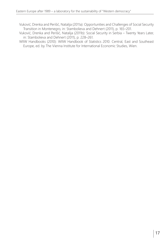- Vuković, Drenka and Perišić, Natalija (2011a): Opportunities and Challenges of Social Security Transition in Montenegro, in: Stambolieva and Dehnert (2011), p. 165–201.
- Vuković, Drenka and Perišić, Natalija (2011b): Social Security in Serbia Twenty Years Later, in: Stambolieva and Dehnert (2011), p. 228–261.
- WIIW Handbooks (2010): WIIW Handbook of Statistics 2010. Central, East and Southeast Europe, ed. by The Vienna Institute for International Economic Studies, Wien.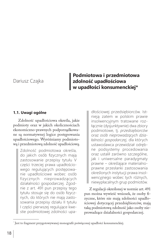#### Dariusz Czajka

## **Podmiotowa i przedmiotowa zdolność upadłościowa w upadłości konsumenckiej\***

#### **1.1. Uwagi ogólne**

Zdolność upadłościowa określa, jakie podmioty oraz w jakich okolicznościach ekonomiczno-prawnych podporządkowane są normatywnej logice postępowania upadłościowego. Wyróżniamy podmiotową i przedmiotową zdolność upadłościową.

> Zdolność podmiotowa określa, do jakich osób fizycznych mają zastosowanie przepisy tytułu V części trzeciej prawa upadłościowego regulujących postępowanie upadłościowe wobec osób fizycznych nieprowadzących działalności gospodarczej. Zgodnie z art. 491 pun przepisy tego tytułu stosuje się do osób fizycznych, do których nie mają zastosowania przepisy działu II tytułu I części pierwszej regulujące kwestie podmiotowej zdolności upa-

dłościowej przedsiębiorców. Istnieją zatem w polskim prawie insolwencyjnym tratowane rozłącznie (dysjunktywnie) dwa zbiory podmiotowe, tj. *przedsiębiorców* oraz *osób nieprowadzących działalności gospodarczej*, dla których ustawodawca przewidział odrębne podsystemy procedowania oraz ustalił zarówno szczególne, jak i uniwersalne paradygmaty prawne – określające materialnoprawne przesłanki zastosowania określonych instytucji prawa insolwencyjnego wobec tych różnych, niewypłacalnych grup podmiotów.

Z regulacji określonej w normie art. 491 pun można wywieść wniosek, że osoby fizyczne, które nie mają zdolności upadłościowej dotyczącej przedsiębiorców, mają taką podmiotową zdolność jako osoby nieprowadzące działalności gospodarczej.

<sup>\*</sup> Jest to fragment przygotowywanej monografii poświęconej upadłości konsumenckiej.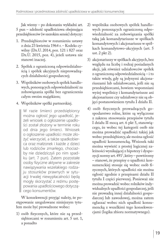Jak wiemy – po dokonaniu wykładni art. 5 pun – zdolność upadłościowa obejmująca przedsiębiorców (w szerokim sensie) dotyczy:

- 1. Przedsiębiorców w rozumieniu ustawy z dnia 23 kwietnia 1964 r. – Kodeks cywilny (Dz.U. 2014, poz. 121 i 827 oraz Dz.U. 2015, poz. 4), jeżeli ustawa nie stanowi inaczej.
- 2. Spółek z ograniczoną odpowiedzialnością i spółek akcyjnych nieprowadzących działalności gospodarczej;
- 3. Wspólników osobowych spółek handlowych, ponoszących odpowiedzialność za zobowiązania spółki bez ograniczenia całym swoim majątkiem;
- 4. Wspólników spółki partnerskiej.

W razie śmierci przedsiębiorcy można ogłosić jego upadłość, jeżeli wniosek o ogłoszenie upadłości został złożony w terminie roku od dnia jego śmierci. Wniosek o ogłoszenie upadłości może złożyć wierzyciel, a także spadkobierca oraz małżonek i każde z dzieci lub rodziców zmarłego, chociażby nie dziedziczyli po nim spadku (art. 7 pun). Zatem pozostałe osoby fizyczne aktywne w zakresie nawiązywania wszelakiego rodzaju stosunków prawnych w sytuacji trwalej niewypłacalności będą mogły skorzystać z reżimu postępowania upadłościowego dotyczącego konsumentów.

W konsekwencji przyjąć należy, że postępowanie uregulowane niniejszym tytułem może być prowadzone wobec:

1) osób fizycznych, które nie są przedsiębiorcami w rozumieniu art. 5 ust. 1, a ponadto

- 2) wspólnika osobowych spółek handlowych ponoszących ograniczoną odpowiedzialność za zobowiązania spółki taką jak komandytariusze w spółkach komandytowych i akcjonariusze w spółkach komandytowo-akcyjnych (art. 5 ust. 2 pkt 2).
- 3) akcjonariuszy w spółkach akcyjnych, bez względu na liczbę i rodzaj posiadanych akcji, jak również udziałowców spółek z ograniczoną odpowiedzialnością – i to także wtedy, gdy są jedynymi akcjonariuszami lub udziałowcami, jeśli nie są przedsiębiorcami, bowiem wspomniani wyżej wspólnicy i komandytariusze ani akcjonariusze czy udziałowcy nie są objęci postanowieniem tytułu I działu II.
- 4) osób fizycznych prowadzących gospodarstwo rolne, które są wyłączone z zakresu stosowania przepisów tytułu I działu II mocą art. 6 pkt 5, stanowiącego, że wobec tej kategorii osób nie można prowadzić upadłości takiej jak wobec przedsiębiorcy, ale można ogłosić upadłość konsumencką. Wniosek taki można wywieść z prostej logicznej zależności wynikającej z hipotezy i dyspozycji normy art. 4911 , który – powtórzmy – stanowi, że przepisy o upadłości konsumenckiej stosuje się wobec osób fizycznych, których upadłości nie można ogłosić zgodnie z przepisami działu II tytułu I części pierwszej. Ponieważ nie można prowadzić wobec rolników indywidualnych upadłości gospodarczej, jeśli nie prowadzą innej działalności gospodarczej lub zawodowej, można zatem ogłaszać wobec nich upadłość konsumencką z wszelkimi tego konsekwencjami (logika zbioru normatywnego).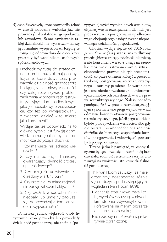5) osób fizycznych, które prowadziły (choć w chwili składania wniosku już nie prowadzą) działalność gospodarczą lub zawodową. Samo zawieszenie takiej działalności nie wystarcza – należy ją formalnie wyrejestrować. Regułę tę stosuje się odpowiednio do osób, które przestały być wspólnikami osobowych spółek handlowych.

Dochodzimy tutaj do strategicznego problemu, jaki mają osoby fizyczne, które dotychczas prowadziły działalność gospodarczą i osiągnęły stan niewypłacalności: czy dalej rozwiązywać problem zadłużenia w procedurach restrukturyzacyjnych lub upadłościowych jako jednoosobowy przedsiębiorca, czy też po wyrejestrowaniu z ewidencji działać w tej mierze jako konsument?

Wydaje się, że odpowiedź na to główne pytanie jest funkcją odpowiedzi na następujące pytania pomocnicze dotyczące dłużnika:

- 1. Czy ma więcej niż jednego wierzyciela?
- 2. Czy ma potencjał finansowy gwarantujący płynność procesu upadłościowego?
- 3. Czy przejdzie pozytywnie test określony w art. 13 pun?
- 4. Czy rzetelnie i w miarę racjonalnie zarządzał swymi aktywami?
- 5. Czy dłużnik w sposób rażąco niedbały lub umyślny zadłużał się, doprowadzając tym samym do niewypłacalności?

Ponieważ jednak większość osób fizycznych, które prowadzą lub prowadziły działalność gospodarczą, nie spełnia (pozytywnie) wyżej wymienionych warunków, ultymatywnym rozwiązaniem dla nich jest próba wszczęcia postępowania upadłościowego obejmującego osoby fizyczne nieprowadzące działalności gospodarczej.

Chociaż wydaje się, że od 2016 roku *prima facie* większą szansę ma zadłużony przedsiębiorca tracący zdolność płatniczą, a nie konsument – a to z uwagi na szerokie możliwości ratowania swojej sytuacji ekonomiczno-prawnej nie tyle przez upadłość, co przez otwarcie którejś z procedur (trybów) postępowania restrukturyzacyjnego – musimy pamiętać, że warunkiem jest spełnienie przesłanek podmiotowo- -przedmiotowych określonych w art. 8 prawa restrukturyzacyjnego. Należy ponadto pamiętać, że i w prawie restrukturyzacyjnym są normatywne progi wejściowe – sąd odmawia bowiem otwarcia postępowania restrukturyzacyjnego, jeżeli jego skutkiem byłoby pokrzywdzenie wierzycieli albo gdy nie została uprawdopodobniona zdolność dłużnika do bieżącego zaspokajania kosztów postępowania i zobowiązań powstałych po jego otwarciu.

Trzeba jednak pamiętać, że osoby fizyczne będące przedsiębiorcami mają bardzo słabą zdolność restrukturyzacyjną, a to z uwagi na swoistość i strukturę działalności gospodarczej.

- Th.P. van Hoorn zauważył, że małe organizmy gospodarcze różnią się od dużych pod następującymi względami (van Hoorn 1979):
- ♦ generują stosunkowo małą liczbę wyrobów czy usług, w niewielkim stopniu zdywersyfikowaną i oferowaną na małym obszarze danego sektora rynku;
- ♦ ich zasoby i możliwości są relatywnie ograniczone;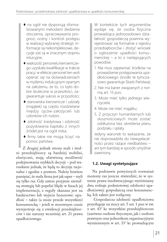- ♦ na ogół nie dysponują sformalizowanymi metodami śledzenia otoczenia, opracowywania prognoz, oceny i kontroli postępu w realizacji wybranej strategii; informacje są niekompleksowe, decyzje zaś są w znacznym stopniu intuicyjne;
- ♦ większość personelu kierowniczego uzyskała kwalifikacje w trakcie pracy; w efekcie personel ten woli opierać się na doświadczeniach w myśleniu indukcyjnym opartym na założeniu, że to, co było dobre skuteczne w przeszłości, zagwarantuje sukces w przyszłości;
- ♦ stanowiska kierownicze i udziały (majątek) są często rozdzielane między ojców-założycieli lub członków ich rodzin;
- ♦ zdolność kredytowa i zdolność pozyskiwania kapitału z innych źródeł jest na ogół niska;
- ♦ firmy takie nie mogą liczyć na pomoc państwa.

 Z drugiej jednak strony mali i średni przedsiębiorcy są bardziej mobilni, elastyczni, mają ułatwioną możliwość podejmowania szybkich decyzji – pod warunkiem jednak, że będą to decyzje racjonalne i zgodne z prawem. Należy bowiem pamiętać, że mała firma jest jak saper – myli się tylko raz. Gdy zatem przyjmie nietrafną strategię lub popełni błędy w fazach jej implementacji, z reguły skazana jest na bankructwo lub wyjście honorowe: upadłość – także (a może przede wszystkim) konsumencką – jeżeli w stosownym czasie wyrejestruje się z ewidencji przedsiębiorców i nie naruszy wcześniej art. 21 prawa upadłościowego.

W kontekście tych argumentów wydaje się, że osoba fizyczna prowadząca jednoosobowo działalność gospodarczą powinna wyrejestrować się formalnie z rejestru przedsiębiorców i złożyć wniosek o ogłoszenie upadłości konsumenckiej – a to z następujących powodów:

- 1. Nie musi zapewniać środków na prowadzenie postępowania upadłościowego (środki te tymczasowo gwarantuje Skarb Państwa);
- 2. Nie ma barier związanych z normą art. 13 pun;
- 3. Może mieć tylko jednego wierzyciela;
- 4. Może nie mieć majątku;
- 5. Z przyczyn humanitarnych lub słusznościowych może zostać oddłużona bez określenia planu podziału i spłaty.

Jedyny warunek to wykazanie, że nie doprowadziła do niewypłacalności przez rażące niedbalstwo – ani tym bardziej w sposób umyślnie zawiniony.

#### **1.2. Uwagi syntetyzujące**

Na podstawie powyższych rozważań możemy raz jeszcze stwierdzić, że w systemie prawa insolwencyjnego wyróżniamy dwa rodzaje podmiotowej zdolności upadłościowej: gospodarczą oraz konsumencką. Ich zakres jest rozłączny.

 Gospodarcza zdolność upadłościowa przysługuje na mocy art. 5 ust. 1 pun w zw. z art. 431 kc wszystkim przedsiębiorcom (zarówno osobom fizycznym, jak i osobom prawnym oraz jednostkom organizacyjnym wymienionym w art. 331 kc prowadzącym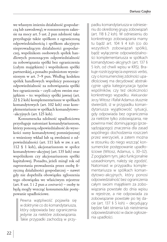we własnym imieniu działalność gospodarczą lub zawodową); w rozszerzonym zakresie na mocy art. 5 ust. 2 pun zdolność taka przysługuje także spółkom z ograniczoną odpowiedzialnością i spółkom akcyjnym nieprowadzącym działalności gospodarczej, wspólnikom osobowych spółek handlowych ponoszącym odpowiedzialność za zobowiązania spółki bez ograniczenia (całym majątkiem) i wspólnikom spółki partnerskiej, a ponadto podmiotom wymienionym w art. 7–9 pun. Według kodeksu spółek handlowych wspólnicy ponoszący odpowiedzialność za zobowiązania spółki bez ograniczenia – czyli całym swoim majątkiem – to: wspólnicy spółki jawnej (art. 22 § 2 ksh) komplementariusze w spółkach komandytowych (art. 102 ksh) oraz komplementariusze w spółkach komandytowo- -akcyjnych (art. 125 ksh).

Konsumencka zdolność upadłościowa przysługuje natomiast komandytariuszom, którzy ponoszą odpowiedzialność do wysokości sumy komandytowej pomniejszonej o wniesiony wkład lub są zwolnieni z odpowiedzialności (art. 111 ksh w zw. z art. 112 § 1 ksh), akcjonariuszom w spółce komandytowo-akcyjnej (art. 135 ksh) oraz wspólnikom czy akcjonariuszom spółki kapitałowej. Ponadto, jeżeli minął rok od zaprzestania prowadzenia przez osobę fizyczną działalności gospodarczej – nawet gdy nie dopełniła obowiązku zgłoszenia tego obowiązku we właściwym rejestrze (art. 8 ust. 1 i 2 pun *a contrario*) – osoby te będą mogły wszcząć konsumenckie postępowanie upadłościowe.

Pewna wątpliwość pojawiła się w doktrynie co do komandytariusza, który odpowiada bez ograniczenia jedynie za niektóre zobowiązania. Takie przypadki zachodzą w przypadku komandytariusza w odniesieniu do określonej grupy zobowiązań (art. 118 § 2 ksh). W odniesieniu do konkretnego zobowiązania mamy tu bądź art. 104 § 4 ksh (co do wszystkich zobowiązań spółki), bądź wyłączenie odpowiedzialności komplementariusza w spółkach komandytowo-akcyjnych (art. 137 § 5 ksh, od chwili wpisu w KRS). Brakuje rozstrzygnięcia *expressis verbis*, czy o konsumenckiej zdolności upadłościowej ma decydować abstrakcyjnie ujęta kategoryzacja typów wspólników, czy też okoliczności konkretnego wypadku. Aleksander Jerzy Witosz i Rafał Adamus słusznie stwierdzili, iż w przypadku komandytariusza wyjątkowość sytuacji, gdy odpowiada bez ograniczenia za niektóre tylko zobowiązania, nie powinna mieć dominującego (przesądzającego) znaczenia dla zasad wspólnego dochodzenia roszczeń przez wierzycieli, a zatem można w stosunku do niego wszcząć konsumenckie postępowanie upadłościowe (Witosz, Adamus, s. 30–32). Z poglądem tym, jako funkcjonalnie uzasadnionym, należy się zgodzić. Natomiast w przypadku komplementariusza w spółkach komandytowo-akcyjnych, który ponosi odpowiedzialność bez ograniczenia całym swoim majątkiem za zobowiązania powstałe do dnia wpisu w rejestrze, a nie odpowiada za zobowiązanie powstałe po tej dacie (art. 137 § 5 ksh) – decydujący będzie fakt istnienia lub nieistnienia odpowiedzialności w dacie ogłoszenia upadłości.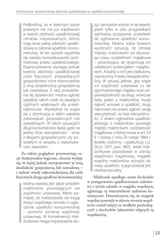Podkreślmy, że w obecnym stanie prawnym nie ma już wątpliwości w kwestii zdolności upadłościowej rolników indywidualnych, którzy mają teraz *pełną zdolność upadłościową* w zakresie upadłości konsumenckiej. W ten sposób wypełniła się zasada kompleksowości podmiotowej prawa upadłościowego. Doprecyzowania wymaga jednak kwestia zdolności upadłościowej osób fizycznych prowadzących gospodarstwo rolne równocześnie z inną działalnością gospodarczą lub zawodową. Z racji prowadzenia tej działalności można ogłosić upadłość takich osób na zasadach ogólnych właściwych dla przedsiębiorców. Wykładnia ta wiąże się z dominacją w takim zakresie zobowiązań gospodarczych lub zawodowych. W takich sytuacjach długi konsumenckie będą ujęte na jednej liście wierzytelności – wraz z długami gospodarczymi czy powstałymi w związku z wykonywanym zawodem.

Za takim poglądem przemawiają racje funkcjonalno-logiczne, chociaż wydaje się, że lepiej jednak wyrejestrować tę inną działalność gospodarczą lub zawodową – i wybrać wtedy odpowiedniejszą dla osób fizycznych drogę upadłości konsumenckiej.

Istotną kwestią jest także problem małżonków pozostających we wspólności ustawowej. Warto pamiętać, że małżonkowie nie mogą złożyć wspólnego wniosku o ogłoszenie upadłości konsumenckiej – pomimo istnienia wspólnoty ustawowej. W konsekwencji małżonkowie mogą indywidualnie zło-

żyć samoistne wnioski w tej kwestii, jeżeli tylko w obu przypadkach zachodzą pozytywne przesłanki do ogłoszenia upadłości konsumenckiej. Można sobie bowiem wyobrazić sytuację, że istnieje między małżonkami od dłuższego czasu rozdzielność majątkowa – powodująca, że dysponują oni odrębnym potencjałem majątkowym. A każdy z nich jest zadłużony, naznaczony trwałą niewypłacalnością. W sytuacji jednak, gdy wiąże ich wspólność ustawowa co do zgromadzonego majątku oraz odpowiedzialności za długi, wówczas tylko jeden z małżonków może zgłosić wniosek o upadłość, drugi natomiast ma prawo zgłosić swoją wierzytelność na listę wierzytelności. Z dniem ogłoszenia upadłości jednego z małżonków powstaje między małżonkami rozdzielność majątkowa, o której mowa w art. 53 § 1 ustawy z dnia 25 lutego 1964 r. Kodeks rodzinny i opiekuńczy ( j.t. Dz.U. 2017, poz. 682). Jeżeli małżonkowie pozostawali w ustroju wspólności majątkowej, majątek wspólny małżonków wchodzi do masy upadłości, a jego podział jest niedopuszczalny.

 Małżonek upadłego może dochodzić w postępowaniu upadłościowym należności z tytułu udziału w majątku wspólnym, zgłaszając tę wierzytelność sędziemu komisarzowi. Domniemywa się, że majątek wspólny powstały w okresie trwania wspólności został nabyty ze środków pochodzących z dochodów (aktywów) objętych tą wspólnością.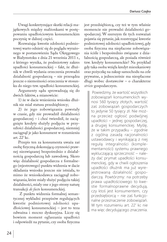Uwagi konkretyzujące skutki relacji majątkowych między małżonkami w postępowaniu upadłościowym konsumenckim poczynię w dalszej części.

Rozważając kwestie zdolności podmiotowej warto odnieść się do poglądu wyrażonego w postanowieniu Sądu Okręgowego w Białymstoku z dnia 21 września 2011 r., z którego wynika, że podmiotowy zakres upadłości konsumenckiej – fakt, że dłużnik w chwili wydania orzeczenia prowadzi działalność gospodarczą – nie przesądza jeszcze o niemożności orzeczenia w stosunku do niego tzw. upadłości konsumenckiej.

Argumenty sądu sprowadzają się do dwóch faktów, a mianowicie:

1) że w dacie wniesienia wniosku dłużnik nie miał statusu przedsiębiorcy;

2) że jego zobowiązania powstały w czasie, gdy nie prowadził działalności gospodarczej – i choć twierdził, że zaciągnięte kredyty służyły podjęciu w przyszłości działalności gospodarczej, niemniej zaciągnął je jako konsument w rozumieniu art. 221 kc.

Przepis ten za konsumenta uważa zaś osobę fizyczną dokonującą czynności prawnej niezwiązanej bezpośrednio z działalnością gospodarczą lub zawodową. Skoro więc działalność gospodarcza z formalnego (rejestrowego) punktu widzenia w dacie składania wniosku jeszcze nie istniała, to mimo że wnioskodawca zaciągnął zobowiązania, które miały służyć podjęciu takiej działalności, miały one z jego strony naturę transakcji *de facto* konsumenckiej.

 Z punktu widzenia formalnej semantycznej wykładni przepisów regulujących kwestie podmiotowej zdolności upadłościowej konsumenckiej – jest to teza odważna i mocno dyskusyjna. Liczy się bowiem moment ogłaszania upadłości i odpowiedź na pytanie, czy osoba fizyczna

jest przedsiębiorcą, czy też w tym właśnie momencie nie prowadzi działalności gospodarczej. W szerszym tle tych rozważań pojawia się pytanie, jak rozstrzygać kwestie podmiotowej zdolności upadłościowej, gdy osoba fizyczna ma niepłacone zobowiązania ściśle i bezpośrednio związane z działalnością gospodarczą, ale posiada również tzw. kredyty konsumenckie? Na przykład gdy taka osoba wzięła kredyt mieszkaniowy oraz pożyczkę na zakup samochodu na cele prywatne, a jednocześnie ma niespłacone długi wobec dostawców – o charakterze *stricte* gospodarczym.

Powiedzmy, że wartość wszystkich zobowiązań konsumenckich wynosi 560 tysięcy złotych, wartość zaś zobowiązań gospodarczych to jedynie 50 tysięcy zł. Nie można przecież ogłosić podwójnej upadłości – jednej gospodarczej, a drugiej konsumenckiej. Myślę, że w takim przypadku – zgodnie z ogólną zasadą racjonalności ustawodawcy i wynikającą z niej regułą integralności (komplementarności) systemu prawnego wykluczającą sprzeczność – należy dać prymat upadłości konsumenckiej, gdy w chwili ogłoszenia upadłości dłużnik ma już wyrejestrowaną działalność gospodarczą. Powtórzmy: na potrzeby prawa upadłościowego to kwestie formalnoprawne decydują, czy ktoś jest konsumentem, czy przedsiębiorcą – nie zaś funkcjonalne przeznaczenie zobowiązań. W tym rozumieniu art. 22<sup>1</sup> kc nie ma więc decydującego znaczenia.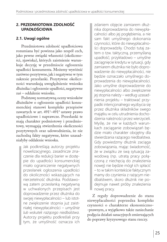#### **2. PRZEDMIOTOWA ZDOLNOŚĆ UPADŁOŚCIOWA**

#### **2.1. Uwagi ogólne**

Przedmiotowa zdolność upadłościowa rozumiana być powinna jako zespół cech, jako pewne związki własności (okoliczności, zjawiska), których zaistnienie warunkuje decyzję w przedmiocie ogłoszenia upadłości konsumenta. Możemy wyróżnić zarówno pozytywne, jak i negatywne w tym zakresie przesłanki. Pozytywne okoliczności warunkują uwzględnienie wniosku dłużnika i ogłoszenie upadłości, negatywne zaś – oddalenie wniosku.

Podstawę normatywną oceny wniosków dłużników o ogłoszenie upadłości konsumenckiej stanowi kompleks przepisów zawartych w art. 491<sup>1</sup>–491<sup>4</sup> ustawy prawo upadłościowe i naprawcze. Przesłanki te mają charakter podmiotowy i przedmiotowy, wymagają stwierdzenia okoliczności pozytywnych oraz udowodnienia, że nie zachodzą fakty negatywne, które uzasadniałyby oddalenie wniosku.

Jak podkreślają autorzy projektu nowelizacyjnego, zasadnicze znaczenie dla redukcji barier w dostępie do upadłości konsumenckiej miało ograniczenie negatywnych przesłanek ogłoszenia upadłości do okoliczności wskazujących na nierzetelność dłużnika. Podstawową zatem przesłanką negatywną w uchwalonych przepisach jest doprowadzenie przez dłużnika do swojej niewypłacalności – lub istotne zwiększenie stopnia już zaistniałej niewypłacalności – *umyślnie lub wskutek rażącego niedbalstwa*. Autorzy projektu podkreślali przy tym, że umyślność oznacza ich

zdaniem objęcie zamiarem dłużnika doprowadzenia do niewypłacalności albo jej pogłębienia, a nie sam fakt umyślnego dokonania czynności, które do niewypłacalności doprowadziły. Chodzi tutaj zatem o tzw. taktyczną, przemyślaną upadłość; przykładowo – umyślne zaciągnięcie kredytu w sytuacji, gdy zamiarem dłużnika nie było doprowadzenie do niewypłacalności, nie będzie oznaczało umyślnego doprowadzenia do niewypłacalności. Jako umyślne doprowadzenie do niewypłacalności albo zwiększenie jej stopnia należy – według uzasadnienia projektu – traktować przypadki intencjonalnego wyzbycia się przez dłużnika składników swego majątku w celu utrudnienia dochodzenia należności przez wierzycieli. Myślę, że nie w każdych warunkach zaciąganie zobowiązań będzie miało charakter obojętny dla stwierdzania rażącego niedbalstwa. Gdy powiedzmy dłużnik zaciąga zobowiązania, mając świadomość, że w związku ze swą sytuacją zawodową (np. utratą pracy połączoną z niechęcią do znalezienia nowej) nie będzie mógł ich spłacić – to w takim kontekście faktycznym mamy do czynienia z rażącym niedbalstwem, skoro dłużnik nie podejmuje nawet próby znalezienia nowej pracy.

Z reguły doprowadzenie do stanu niewypłacalności poprzedza kompleks czynności o charakterze ekonomiczno- -prawnym, a wyjątkowo także zaniechanie podjęcia działań sanacyjnych zmierzających do poprawy kryzysowego stanu rzeczy.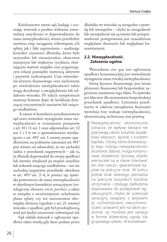Każdorazowo zatem sąd, badając i oceniając wniosek z punktu widzenia ewentualnej umyślności w doprowadzeniu do stanu niewypłacalności, winien prześledzić zarówno etap zaciągania zobowiązań, ich spłaty, jak i fakt zaprzestania – analizując kontekst czynności dłużnika, które były racjonalne lub nieracjonalne, obarczone mniejszym lub większym ryzykiem, obniżającym wartość majątku oraz pogarszającym relacje pomiędzy wartością aktywów i pasywów (zobowiązań). Czas stwierdzenia kryzysu finansowego oraz zachowanie po stwierdzeniu niewypłacalności także mogą decydować o uwzględnieniu lub oddaleniu wniosku. Po takich symptomach możemy bowiem dojść do konkluzji dotyczącej rzeczywistych zamiarów lub rażącego niedbalstwa.

 A zatem w kontekście przedmiotowym sąd musi stwierdzić wystąpienie stanu niewypłacalności w rozumieniu przepisów z art. 10 i 11 ust. 1 oraz odpowiednio art. 12 ust. 1 i 3 w zw. z upoważnieniem wynikającym z art. 491<sup>2</sup> ust. 1 ustawy prawo upadłościowe; na podstawie natomiast art. 4914 pun winien on udowodnić, że nie zachodzi żadna z przesłanek negatywnych – jak ta, że dłużnik doprowadził do swojej upadłości lub istotnie zwiększył jej stopień umyślnie lub wskutek rażącego niedbalstwa – ani nie zachodzą negatywne przesłanki określone w art. 4914 ust. 2–4, w postaci np. zjawiska powrotności do stanu niewypłacalności w określonym kontekście sytuacyjnym (ontologiczny element *ceteris paribus*), a także w związku z wcześniejszym uchyleniem planu spłaty czy też naruszeniem obowiązku złożenia (zgodnie z art. 21 ustawy) wniosku o upadłość, gdy był przedsiębiorcą, miał już kiedyś umorzenie zobowiązań itd.

Sąd oddala wniosek o ogłoszenie upadłości także wtedy, gdy dane podane przez dłużnika we wniosku są niezgodne z prawdą lub niezupełne – chyba że niezgodność lub niezupełność nie są istotne lub przeprowadzenie postępowania jest uzasadnione względami słuszności lub względami humanitarnymi.

#### **2.2. Niewypłacalność. Założenia ogólne**

Warunkiem *sine qua non* ogłoszenia upadłości konsumenckiej jest stwierdzenie wystąpienia stanu trwałej niewypłacalności.

Istotą kryzysu finansowego jest utrata płynności finansowej lub bezpośrednie zagrożenie zaistnienia tego faktu. To zjawisko jest kluczem dla zrozumienia bezpośredniej przesłanek upadłości. Literatura przedmiotu w zakresie zarządzania finansami wyróżnia trzy rodzaje niewypłacalności, ekonomiczną, techniczną oraz prawną.

> Niewypłacalność *ekonomiczna* oznacza, że wpływy bieżące nie pokrywają całości kosztów (wydatków) własnych, łącznie z kosztem kapitału. Osoby, które doświadczyły tego rodzaju niewypłacalności *(economic failure)*, mogą kontynuować działalność życiową, dopóki wierzyciele są w stanie tolerować ten stan rzeczy i gwarantować kapitał na pokrycie strat. W końcu jednak brak świeżego pieniądza na pokrycie wszystkich kosztów utrzymania i obsługę zadłużenia doprowadza do postępowań egzekucyjnych, chyba że potencjał sanacyjny związany z aktywami (tj. ruchomościami, nieruchomościami, prawami) jest na takim poziomie, że możliwa jest sanacja w formie bilateralnej ugody lub grupowego układu. W konsekwen-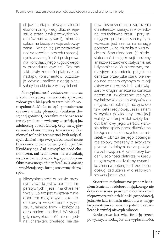cji już na etapie niewypłacalności ekonomicznej, kiedy dłużnik rejestruje stratę (czyli przewyżkę wydatków nad wpływami), mimo że spłaca na bieżąco swoje zobowiązania – winien się już zastanowić nad wszczęciem procedur sanacyjnych, w szczególności postępowania koncyliacyjnego (ugodowego) w procedurze cywilnej. Gdy zaś fakt utraty zdolności płatniczej już nastąpił, konsumentowi pozostaje jedynie upadłość z opcją planu spłaty lub układu z wierzycielami.

Niewypłacalność *techniczna* oznacza z kolei faktyczną niemożność spłacania zobowiązań bieżących w terminie ich wymagalności. Może to być spowodowane czasową utratą płynności (brakiem dostępnej gotówki), lecz także może oznaczać trwały problem – związany z istniejącą już zdolnością upadłościową. Gdy niewypłacalności ekonomicznej towarzyszy fakt niewypłacalności technicznej, brak radykalnych działań naprawczych oznaczać może błyskawiczne bankructwo (czyli upadłość likwidacyjną). Ani niewypłacalność ekonomiczna, ani techniczna nie warunkują wszakże bankructwa; do tego potrzebujemy faktu nazwanego *niewypłacalnością prawną* – przybierającego formę stosownej decyzji sądu.

Niewypłacalność w sensie prawnym zawarta jest w normach imperatywnych i jeżeli ma charakter trwały lub też jest związana z niedoborem majątkowym jako dodatkowym wskaźnikiem kryzysu strukturalnego firmy – kończy się ogłoszeniem upadłości. W sytuacji gdy niewypłacalność nie ma jednak charakteru trwałego, nie sta-

nowi bezpośredniego zagrożenia dla interesów wierzycieli w określonej perspektywie czasu i przy istniejącym potencjale sanacyjnym, wówczas jest szansa na sanację poprzez układ dłużnika z wierzycielami. Stan niedoboru (tj. niedostateczności majątkowej) możemy analizować zarówno statycznie, jak i dynamicznie. W pierwszym, tradycyjnym rozumieniu pojęcie to oznacza przewyżkę stanu biernego nad stanem czynnym w relacji aktywów do wszystkich zobowiązań; w drugim znaczeniu oznacza natomiast zwiększenie realnych wydatków względem wpływów do majątku, co pokazuje np. zjawisko tzw. pętli kredytowej. Jeżeli zatem w wyniku powiedzmy aprecjacji waluty, w której został wzięty kredyt bankowy, jego wartość wzrosła mimo spłaty przez dłużnika na bieżąco rat kapitałowych oraz odsetek – obniża się jego potencjał majątkowy związany z aktywami płynnymi zdolnymi do zaspokajania zobowiązań. A zatem przy badaniu zdolności płatniczej w ujęciu majątkowym analizujemy dynamikę zmian w potencjałach zdolności obsługi zadłużenia w określonych sekwencjach czasu.

Kryterium majątkowe związane z badaniem istnienia niedoboru majątkowego nie dotyczy w sensie prawnym osób fizycznych nieprowadzących działalności gospodarczej, jednakże fakt istnienia niedoboru w majątku prywatnym konsumenta potwierdza okoliczność trwałej niewypłacalności.

Bankructwo jest więc funkcją trzech powyższych rodzajów niewypłacalności,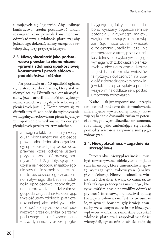sumujących się logicznie. Aby uniknąć bankructwa, trzeba poszukiwać takich rozwiązań, które pozwolą konsumentowi odzyskać trwałą zdolność płatniczą; aby jednak tego dokonać, należy zacząć od rzetelnej diagnozy przyczyn kryzysu.

#### **2.3. Niewypłacalność jako podstawowa przesłanka ekonomiczno- -prawna zdolności upadłościowej konsumenta i przedsiębiorcy – podobieństwa i różnice**

Na podstawie art. 10 upadłość ogłasza się w stosunku do dłużnika, który stał się niewypłacalny. Dłużnik zaś jest niewypłacalny, jeżeli utracił zdolność do wykonywania swoich wymagalnych zobowiązań pieniężnych (art. 11). Domniemywa się, że dłużnik utracił zdolność do wykonywania wymagalnych zobowiązań pieniężnych, jeżeli opóźnienie w wykonaniu zobowiązań pieniężnych przekracza trzy miesiące.

> Z uwagi na fakt, że z natury rzeczy dłużnik-konsument nie jest osobą prawną albo jednostką organizacyjną nieposiadającą osobowości prawnej, której odrębna ustawa przyznaje zdolność prawną, normy art. 12 ust. 2, tj. dotyczącej faktu uzyskania niedoboru majątkowego, nie stosuje się samoistnie, czyli nie ma to bezpośredniego znaczenia normatywnego dla badania zdolności upadłościowej osoby fizycznej nieprowadzącej działalności gospodarczej. Jednakże, oceniając trwałość utraty zdolności płatniczej (rozumianej jako obiektywna niemożność spłaty zobowiązań pieniężnych przez dłużnika), bierzemy pod uwagę – jak już wspomniano – tzw. dynamiczny aspekt pogłę-

biającego się faktycznego niedoboru, wyrażany pogarszaniem się potencjału aktywnego majątku względem rosnących zobowiązań. Sąd może oddalić wniosek o ogłoszenie upadłości, jeżeli nie ma zagrożenia utraty przez dłużnika zdolności do wykonywania jego wymagalnych zobowiązań pieniężnych w niedługim czasie. Norma ta jest hamulcem dla wniosków taktycznych obliczonych na upadłość z dobrodziejstwem przywilejów takich jak plan spłaty a przede wszystkim na oddłużenie w postaci umorzenia zobowiązań.

Nadto – jak już wspomniano – przepis ten stanowi podstawę do sformułowania inferencyjnie wywiedzionej normy nakazującej badanie dynamiki zmian w potencjale majątkowym dłużnika-konsumenta, rozumianej jako zmieniająca się relacja pomiędzy wartością aktywów a sumą jego zobowiązań.

#### **2.4. Niewypłacalność – zagadnienia szczegółowe**

Przesłanka niewypłacalności musi być rozpatrywana obiektywnie – jako stan finansowy, który uniemożliwia spłatę wymagalnych zobowiązań (analiza płynnościowa). Niewypłacalność ta winna mieć charakter trwały, co oznacza, że brak takiego potencjału sanacyjnego, który w krótkim czasie pozwoliłby odzyskać płynność finansową i umożliwił spłatę bieżących zobowiązań. Jest to zrozumiałe, w sytuacji bowiem, gdy istnieje szansa, by we własnym zakresie – z bieżących wpływów – dłużnik samoistnie odzyskał zdolność płatniczą i zaspokoił w całości wierzycieli, ogłaszanie upadłości staje się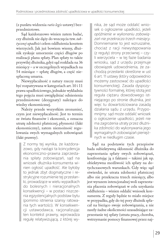(z punktu widzenia *ratio legis* ustawy) bezprzedmiotowe.

Sąd każdorazowo winien zatem badać, czy dłużnik nie dąży do wszczęcia tzw. *taktycznej upadłości* celem oddłużenia kosztem wierzycieli. Jak już bowiem wiemy, dłużnik zyskuje umorzenie części długów po realizacji planu spłaty. Plan spłaty to także przywilej dłużnika, gdyż sąd rozkłada na 36 miesięcy – a w szczególnych wypadkach na 54 miesiące – spłatę długów, a część niespłaconą umarza.

Niewypłacalność z natury rzeczy musi być rozpatrywana w kategoriach art. 10 i 11 prawa upadłościowego, jednakże wykładnia tego pojęcia musi uwzględniać odniesienia przedmiotowe (desygnaty) należące do wiedzy ekonomicznej.

Należy przede wszystkim zrozumieć, czym jest niewypłacalność. Jest to termin ze świata finansów i ekonomii, a oznacza utratę zdolności płatniczej, płynności (fakt ekonomiczny), zatem niemożność regulowania swych wymagalnych zobowiązań (fakt prawny).

Z normy tej wynika, że każdorazowo, gdy nastąpi ta koincydencja ekonomiczno-prawna zaprzestania spłaty zobowiązań, sąd na wniosek dłużnika-konsumenta winien ogłosić upadłość. Ale byłoby to jednak zbyt dogmatyczne i restrykcyjne rozumienie tej przesłanki, prowadzące w wielu wypadkach do bolesnych i nieracjonalnych konsekwencji – w postaci niszczenia egzystencjalnych podstaw bytu (pomimo istnienia szansy ratowania tych wartości). W konsekwencji ustawodawca, racjonalizując ten kontekst prawny, wprowadza regułę relatywizującą, z której wy-

nika, że sąd może oddalić wniosek o ogłoszenie upadłości, jeżeli *opóźnienie w wykonaniu zobowiązań nie przekracza trzech miesięcy*. Domniemanie to jest wzruszalne, chociaż z racji niewystępowania (z reguły) strony przeciwnej – czyli wierzyciela – w tej fazie badania wniosku, sąd z urzędu przejmuje obowiązek udowodnienia, że zachodzą przesłanki określone w ust 6 art. 11 ustawy (który odpowiednio możemy zastosować do upadłości konsumenckiej). Zasada dyspozytywności formalnej, której istotą jest reguła ciężaru dowodowego istniejącego po stronie dłużnika, jest więc tu dowartościowana zasadą działania sądu z urzędu. Przypomnijmy: sąd może oddalić wniosek o ogłoszenie upadłości, jeżeli nie ma zagrożenia utraty przez dłużnika zdolności do wykonywania jego wymagalnych zobowiązań pieniężnych w niedługim czasie.

Sąd na podstawie tych przepisów bada subiektywną skłonność dłużnika do zaprzestania spłaty swych zobowiązań, konfrontując ją z faktami – takimi jak np. obiektywna możliwość ich spłaty na dotychczasowych warunkach. Gdy więc sąd stwierdzi, że utrata zdolności płatniczej albo nie przekracza trzech miesięcy, albo jest wyrazem intencjonalnej woli zaprzestania płacenia zobowiązań w celu uzyskania oddłużenia – winien oddalić wniosek konsumenta. Z reguły będzie to miało miejsce w przypadku, gdy do tej pory dłużnik spłacał na bieżąco swoje zobowiązania, a nie zaszły żadne okoliczności uzasadniające zaprzestanie tej spłaty (utrata pracy, choroba, wstrzymanie pomocy finansowej przez naj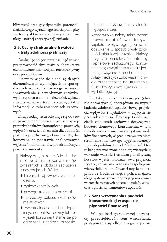bliższych) oraz gdy dynamika potencjału majątkowego wyrażanego relacją pomiędzy wartością aktywów a zobowiązaniami nie ulega istotnej (negatywnej) zmianie.

#### **2.5. Cechy strukturalne trwałości utraty zdolności płatniczej**

Analizując pojęcie trwałości, sąd winien przeprowadzić dwa testy o charakterze ekonomiczno-finansowym: retrospektywny oraz prospektywny.

Pierwszy wiąże się z analizą danych ekonomicznych wynikających ze sporządzonych na użytek badanego wniosku: sprawozdania z przepływów gotówkowych, raportu o stanie należności, wykazu i oszacowania wartości aktywów, a także informacji o zabezpieczeniach rzeczowych.

Drugi rodzaj testu odwołuje się do teorii prawdopodobieństwa – przez projekcję przyszłych faktów ekonomiczno-prawnych, wpływów oraz ich znaczenia dla zdolności płatniczej zadłużonego konsumenta, dokonywaną na podstawie analizowanych wyjaśnień i dokumentów przedstawionych przez konsumenta.

> Należy w tym kontekście zbadać możliwość finansowania kosztów związanych z obsługą zadłużenia z następujących źródeł:

- ♦ bieżących wpływów z wynagrodzenia,
- ♦ zysków kapitałowych,
- $\blacklozenge$  nowego kredytu lub pożyczki,
- ♦ sprzedaży pakietu składników majątkowych,
- ♦ ewentualnego spadku, dopłat innych członków rodziny lub też – jeżeli konsument stanie się po ogłoszeniu upadłości przedsię-

biorcą – zysków z działalności gospodarczej.

Każdorazowo należy także ocenić prawdopodobieństwo dopływu kapitału i wpływ tego zjawiska na odzyskanie w sposób trwały zdolności płatniczej dłużnika. Należy przy tym pamiętać, że potrzeby kapitałowe zadłużonego konsumenta są dwojakiego rodzaju: jedne są związane z uruchomieniem spłaty bieżących zobowiązań, drugie przeznaczone na utrzymanie procesów życiowych (uzasadnione wydatki tego typu).

Do takiej analizy wskazana jest (choć nie normatywnie) sporządzona na użytek badania zdolności upadłościowej projekcja wpływów i wydatków w dającym się przewidzieć czasie. Projekcja ta odzwierciedla całokształt zachowań dotyczących budżetu domowego konsumenta, w tym sposób pozyskiwania i wykorzystania środków finansowych, włącznie ze wskazaniem strumienia finansowego wygenerowanego z prawdopodobnych źródeł (aktywów), które będą przeznaczone na spłatę wierzycieli; wskazuje wartość i strukturę analityczną kosztów – jeśli natomiast owa projekcja wykaże, że nie ma szans na zaspokojenie wierzycieli, brak możliwości uzyskania kapitału ze źródeł zewnętrznych, a majątek ulega systematycznej deprecjacji mierzonej wartością rosnących odsetek – należy wówczas ogłosić konsumentowi upadłość.

#### **2.6. Sens wszczynania upadłości konsumenckiej w aspekcie płynności finansowej**

 W upadłości gospodarczej dotyczącej przedsiębiorców sens wszczynania postępowania upadłościowego wiąże się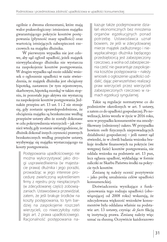ogólnie z dwoma elementami, które mają walor prakseologiczny: istnieniem majątku gwarantującego pokrycie kosztów postępowania (płynność masy upadłości) oraz wartością istniejących zabezpieczeń rzeczowych na majątku dłużnika.

 W pierwszym wypadku nie jest celowe, aby sąd ogłosił upadłość, jeżeli majątek niewypłacalnego dłużnika nie wystarcza na zaspokojenie kosztów postępowania. W drugim wypadku sąd może oddalić wniosek o ogłoszenie upadłości w razie stwierdzenia, że majątek dłużnika jest obciążony hipoteką, zastawem (w tym rejestrowym, skarbowym, hipoteką morską) w takim stopniu, że pozostałe jego aktywa nie wystarczą na zaspokojenie kosztów postępowania. Jednakże przepisu art. 13 ust. 1 i 2 nie stosuje się, gdy zostanie uprawdopodobnione, że obciążenia majątku są bezskuteczne według przepisów ustawy albo że zostały dokonane w celu pokrzywdzenia wierzycieli – jak również wtedy, gdy zostanie uwiarygodnione, że dłużnik dokonał innych czynności prawnych bezskutecznych według przepisów ustawy, wyzbywając się majątku wystarczającego na koszty postępowania.

Postępowania upadłościowego nie można wykorzystywać jako drogi usprawiedliwienia (w majestacie prawa) dłużnika i jego porażki, prowadząc w jego interesie procedurę zwieńczoną wykreśleniem firmy z rejestru przy niespłaconych (w zdecydowanej części) zobowiązaniach. Ustawodawca przewidział, zatem, że jeśli brakuje środków na koszty postępowania, to tym bardziej na zaspokojenie roszczeń wierzycieli, co niweczyłoby *ratio legis* art. 2 prawa upadłościowego. Racjonalność postępowania na-

kazuje także podejmowanie działań ekonomicznych bez mnożenia organów egzekucyjnych ponad potrzebę. Ustawodawca uznał bowiem, że jeśli w zdecydowanej mierze majątek zadłużonego i niewypłacalnego dłużnika będącego przedsiębiorcą jest zabezpieczony rzeczowo, a wolna od zabezpieczenia cześć nie gwarantuje zaspokojenia kosztów postępowania – należy wniosek o ogłoszenie upadłości oddalić, dając pierwszeństwo realizacji praw wierzycieli przez wierzycieli zabezpieczonych rzeczowo w ramach egzekucji syngularnej.

Takie są regulacje normatywne co do podmiotów określonych w art. 5 ustawy, a zatem co do upadłości gospodarczej. Po nowelizacji, która weszła w życie w 2016 roku, sens w przypadku konsumentów ma zmodyfikowany (odmienny) zakres. W przypadku bowiem osób fizycznych nieprowadzących działalności gospodarczej – jeśli nawet sąd stwierdzi, że w chwili badania wniosku brakuje środków finansowych na pokrycie (we wstępnej fazie) kosztów postępowania, nie oddala wniosku na podstawie art. 13 pun, lecz ogłasza upadłość, wykładając w formie zaliczki ze Skarbu Państwa środki na pokrycie tych kosztów.

Zmianę tę należy ocenić pozytywnie – jako próbę urealnienia celów upadłości konsumenckiej.

Doświadczenia wynikające z funkcjonowania tego rodzaju upadłości (obowiązującej od 2008 roku) wskazują, że zdecydowana większość wniosków konsumentów była oddalana właśnie na podstawie art. 13 ustawy, czyniąc *de facto* fikcją tę instytucję prawa. Zmianę należy więc uznać za słuszną. Oczywiście każdorazowo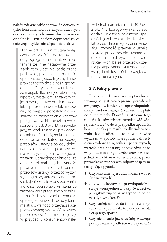należy zdawać sobie sprawę, że dotyczy to tylko konsumentów rzetelnych, uczciwych oraz zachowujących minimalny poziom racjonalności – tzn. poziom dopuszczający co najwyżej zwykłe (nierażące) niedbalstwo.

Norma art. 13 pun została wyłączona w całości z postępowania dotyczącego konsumentów, a zatem także inne negatywne przesłanki tam ujęte nie będą brane pod uwagę przy badaniu zdolności upadłościowej osób fizycznych nieprowadzących działalności gospodarczej. Dotyczy to stwierdzenia, że majątek dłużnika jest obciążony hipoteką, zastawem, zastawem rejestrowym, zastawem skarbowym lub hipoteką morską w takim stopniu, że majątek pozostały nie wystarczy na zaspokojenie kosztów postępowania. Nie będzie również stosowany ust. 3 art. 13, przewidujący, że jeżeli zostanie uprawdopodobnione, że obciążenia majątku dłużnika są bezskuteczne według przepisów ustawy albo gdy dokonane zostały w celu pokrzywdzenia wierzycieli, jak również jeżeli zostanie uprawdopodobnione, że dłużnik dokonał innych czynności prawnych bezskutecznych według przepisów ustawy, przez co wyzbył się majątku wystarczającego na zaspokojenie kosztów postępowania, a okoliczności sprawy wskazują, że zastosowanie przepisów o bezskuteczności i zaskarżaniu czynności upadłego doprowadzi do uzyskania majątku o wartości przekraczającej przewidywaną wysokość kosztów, przepisów ust. 1 i 2 nie stosuje się. W przypadku konsumentów należy jednak pamiętać o art. 4914 ust. 2 pkt 4, z którego wynika, że sąd oddala wniosek o ogłoszenie upadłości, jeżeli, w okresie dziesięciu lat przed dniem zgłoszenia wniosku, czynność prawna dłużnika została prawomocnie uznana za dokonaną z pokrzywdzeniem wierzycieli – chyba że przeprowadzenie postępowania jest uzasadnione względami słuszności lub względami humanitarnymi.

#### **2.7. Fakty prawne**

Do stwierdzenia niewypłacalności wymagane jest wystąpienie przesłanek związanych z istnieniem uprawdopodobnionych zobowiązań, których terminy płatności już minęły. Dowód na istnienie tego rodzaju faktów winien przedstawić wierzyciel (art. 24), ale w przypadku upadłości konsumenckiej z reguły to dłużnik wnosi wniosek o upadłość – i to on winien więc wykazać w sposób wiarygodny fakt istnienia zobowiązań, wskazując wierzycieli, wartość oraz podstawę odpowiedzialności w tym zakresie. Sąd każdorazowo winien jednak weryfikować te twierdzenia, przeprowadzając test prawny odpowiadający na następujące pytania:

- ♦ Czy konsument jest dłużnikiem i wobec ilu wierzycieli?
- ♦ Czy wnioskodawca uprawdopodobnił swoje wierzytelności i czy świadectwa je legitymizujące są wiarygodne co do zasady i wysokości?
- ♦ Czy istnieje spór co do istnienia wierzytelności, a jeżeli tak, to jaka jest istota i etap tego sporu?
- ♦ Czy nie zostało już wcześniej wszczęte postępowanie upadłościowe, czy zostało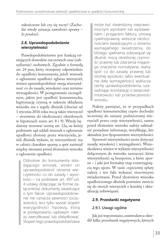zakończone lub czy się toczy? (Zachodzi wtedy sytuacja zawisłości sprawy – *lis pendens*).

#### **2.8. Uprawdopodobnienie wierzytelności**

Prawdopodobieństwo jest funkcją istniejących dowodów rzeczowych oraz (subsydiarnie) osobowych. Zgodnie z formułą art. 24 pun, który stosujemy odpowiednio do upadłości konsumenta, jeżeli wniosek o ogłoszenie upadłości zgłasza wierzyciel, winien uprawdopodobnić swoją wierzytelność co do zasady, wysokości oraz terminu wymagalności. W postępowaniu szczególnym, jakim jest upadłość konsumencka, legitymację czynną w zakresie składania wniosku ma z reguły dłużnik (chociaż od 1 stycznia 2016 roku ma ją także wierzyciel – stosownie do okoliczności określonych w hipotezach norm art. 8 i 9). Wtedy będziemy stosować normę art. 12a, na której podstawie sąd oddali wniosek o ogłoszenie upadłości złożony przez wierzyciela, jeżeli dłużnik wykaże, że wierzytelność ma w całości charakter sporny, a spór zaistniał między stronami przed złożeniem wniosku o ogłoszenie upadłości.

Odnośnie do konsumenta składającego wniosek, winien on uprawdopodobnić istnienie wierzytelności co do zasady i wysokości – na podstawie art. 491<sup>2</sup> ust. 4 ustawy, dołączając (w formie załączników) dokumenty świadczące o tym fakcie. Uprawdopodobnienie nie oznacza pewności (oczywistości), lecz tylko wysoki stopień wiarygodności hipotezy, którą w postępowaniu sądowym należy zweryfikować lub sfalsyfikować. Stopień tego prawdopodobieństwa

może być stwierdzony nieprawomocnym wyrokiem lub wystawieniem i przyjęciem faktury, umową cywilnoprawną, wreszcie okolicznościami świadczącymi o istnieniu wymagalnego świadczenia, do którego spełnienia zobowiązał się dłużnik mocą określonej czynności prawnej lub zdarzenia mającego znaczenie normatywne; realny spór co do zasady prawnej lub istotnej wysokości (albo ewentualnie daty wymagalności) wyklucza cechę uprawdopodobnienia, uzasadniając konstatację o bezprzedmiotowości lub przedwczesności wniosku.

Należy pamiętać, że w przypadkach upadłości konsumenckiej często dochodzi wcześniej do zmiany podmiotowej wierzycieli przez cesje wierzytelności, zatem przed złożeniem wniosku należy uaktualnić posiadane informacje, weryfikując, kto aktualnie jest dysponentem wierzytelności.

Sporność wierzytelności może dotyczyć zasady, wysokości i wymagalności. Wnioskodawca winien w wykazie wierzytelności dołączonym do wniosku zaznaczyć, które wierzytelności są bezsporne, a które sporne – i jaki jest formalny etap rozstrzygnięcia tego sporu. W razie częściowej spłaty należy i ten fakt wykazać stosownymi świadectwami. Przed złożeniem wniosku upadłościowego dłużnik powinien zwrócić się do swoich wierzycieli o korektę i aktualizację zobowiązań.

#### **2.9. Przesłanki negatywne**

#### **2.9.1. Uwagi ogólne**

Jak już wspomniano, ustawodawca określił kilka przesłanek negatywnych, których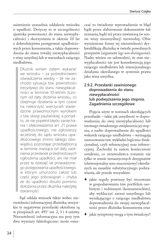zaistnienie uzasadnia oddalenie wniosku o upadłość. Dotyczy to w szczególności zjawiska powrotności do stanu niewypłacalności i skorzystania w okresie 10 lat z dobrodziejstwa postępowań upadłościowych przez konsumenta, a także doprowadzenia do stanu trwalej niewypłacalności z winy umyślnej lub w warunkach rażącego niedbalstwa.

> Dłużnik winien zatem wykazać we wniosku – za pośrednictwem oświadczenia wiedzy – że nie zachodzi sytuacja tzw. powrotności (recydywy) do stanu niewypłacalności w terminie 10-letnim liczonym od daty złożenia wniosku, co obejmuje działania w tym czasie na niekorzyść wierzycieli stwierdzone prawomocnym wyrokiem z tzw. skargi pauliańskiej, a ponadto, że nie popełnił błędu zaniechania i zlekceważenia art. 21 prawa upadłościowego, nie zgłosiwszy wcześniej do sądu wniosku upadłościowego (mimo takiego obowiązku), pozostając przedsiębiorcą w terminie miesiąca od daty zaistnienia przesłanek przedmiotowych ogłoszenia upadłości; ani nie miał przez te dziesięć lat prowadzonego postępowania upadłościowego, w którym umorzono całość lub część jego zobowiązań – chyba że do upadłości doszło pomimo dołożenia przez dłużnika należytej staranności.

 Sąd oddala wniosek także wobec nierzetelności informacyjnej dłużnika; wszystkie te negatywne przesłanki określone są w przepisach art. 4914 ust. 2, 3 i 4 ustawy. Nierzetelność informacyjna ma przy tym dwa wymiary faktologiczne: może oznaczać to świadome wprowadzenie w błąd bądź przez sfałszowanie dokumentów lub zeznania, bądź też przez zawinioną (w sensie winy nieumyślnej) niewiedzę. Obie wymienione formy tej nierzetelności dyskwalifikują dłużnika w świetle powołanych przepisów (argument *lege non distinguente*). Nadto winien on udowodnić, że stan niewypłacalności nie jest konsekwencją jego rażącego niedbalstwa lub intencjonalnego działania określanego w systemie prawa jako wina umyślna.

#### **2.9.2. Przesłanki zawinionego doprowadzenia do stanu niewypłacalności lub podwyższenia jego stopnia. Zagadnienia szczegółowe**

Pojęcia użyte w normach określających przesłanki – takie jak umyślność w doprowadzeniu do swej niewypłacalności lub istotnego świadomego zwiększenia jej stopnia, a nadto doprowadzenie do upadłości wskutek rażącego niedbalstwa – wymagają zastosowania tzw. wykładni logiczno-funkcjonalnej, czyli referencyjnej oraz inferencyjnej. Zachodzi tu zatem konieczność ustalenia, co ustawodawca rozumie nie tylko w sensie semantycznych desygnatów (ekstensjonalny sens znaczeniowy) określanych na zasadzie substytucyjnego podstawiania, ale przede wszystkim:

- ♦ jakie reguły powinny być stosowane w gospodarowaniu tzw. portfelem osobistym i rodzinnym (konsumenckim), aby wykluczyć zarzut umyślnego lub wynikającego z rażącego niedbalstwa doprowadzenia do swojej niewypłacalności przez dłużnika-konsumenta oraz
- ♦ jakie symptomy mogą o tym świadczyć?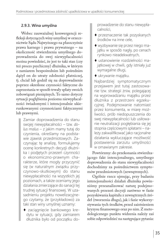#### **2.9.3. Wina umyślna**

Wobec zauważalnej konwergencji refleksji dotyczących winy umyślnej w orzecznictwie Sądu Najwyższego na płaszczyźnie prawa karnego i prawa prywatnego – na okoliczność stwierdzenia umyślnego doprowadzenia do swej niewypłacalności można powiedzieć, że jest to taki stan (czy też proces psychiczny) dłużnika, w którym z zamiarem bezpośrednim lub pośrednim dążył on do utraty zdolności płatniczej, tj. chciał lub godził się na doprowadzenie poprzez określone czynności faktyczne do zaprzestania w sposób trwały spłaty swoich zobowiązań pieniężnych. To samo dotyczy sytuacji pogłębienia poziomu niewypłacalności świadomymi i intencjonalnie ukierunkowanymi czynnościami faktycznymi lub prawnymi.

Zamiar doprowadzenia do stanu swojej niewypłacalności – tzw. *dolus malus* – z jakim mamy tutaj do czynienia, określamy na podstawie zjawisk przedmiotowych. Zaczynając tę analizę, formułujemy ocenę konkretnych decyzji dłużnika i podjętych przezeń czynności o ekonomiczno-prawnym charakterze, które mogły przyczynić się (w naturalnym związku przyczynowo-skutkowym) do stanu niewypłacalności na wszystkich jej poziomach, a także oceniamy jego działania zmierzające do sanacji tej trudnej sytuacji finansowej. W uzasadnieniu projektu nowelizacyjnego czytamy, że (przykładowo) za taki stan winy umyślnej uznamy:

♦ zaciągnięcie bankowego kredytu w sytuacji, gdy zamiarem dłużnika było od początku doprowadzenie do stanu niewypłacalności,

- ♦ przeznaczenie tak pozyskanych środków na inne cele,
- ♦ wyzbywanie się przez niego majątku w sposób nagły, po cenach rynkowo nieadekwatnych,
- ♦ ustanowienie rozdzielności majątkowej w chwili, gdy istniały już wymagalne długi,
- ♦ ukrywanie majątku.

Najbardziej symptomatycznym przejawem jest tutaj zastosowanie tzw. strategii żniw, polegającej na wyprowadzaniu majątku przez dłużnika z przestrzeni egzekucyjnej. Podejmowanie natomiast przez konsumenta, w miarę możliwości, prób niedopuszczenia do swej niewypłacalności lub usiłowanie neutralizacji pogłębiania się jej stopnia częściowymi spłatami – należy zakwalifikować jako racjonalne działania wykluczające możliwość postawienia zarzutu umyślności w omawianym zakresie.

Powtórzmy: do przekonania stwierdzającego fakt intencjonalnego, umyślnego doprowadzenia do stanu niewypłacalności dochodzimy za pośrednictwem symptomów przedmiotowych (zewnętrznych).

Ogólnie rzecz ujmując, przy badaniu intencjonalności działań dłużnika powinniśmy przeanalizować naturę podejmowanych przezeń decyzji zarówno w fazie pozyskiwania kapitału z zewnętrznych źródeł (tworzenia długu), jak i fazie wykorzystywania tych środków, przed zaistnieniem kryzysu finansowego oraz po nim. Z metodologicznego punktu widzenia należy zaś sobie odpowiedzieć na następujące pytania: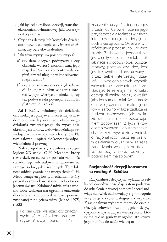- 1. Jaki był cel określonej decyzji, transakcji ekonomiczno-finansowej, jaki towarzyszył jej zamiar?
- 2. Czy dana decyzja lub kompleks działań dostatecznie zabezpieczały interes dłużnika, czy były ekwiwalentne?
- 3. Jaki towarzyszył im poziom ryzyka?
	- a) czy dana decyzja podwyższała czy obniżała wartość ekonomiczną jego majątku dłużnika, koncentrowała kapitał, czy też uległ on w konsekwencji rozproszeniu?
	- b) czy analizowana decyzja (działanie dłużnika) z punktu widzenia interesów jego wierzycieli obniżała, czy też podwyższała potencjał zdolności płatniczej dłużnika?

**Ad 1.** Każdy świadomy akt działania człowieka jest przejawem wcześniej uświadomionej wiedzy oraz woli określonego działania zmierzającego do wywołania określonych faktów. Człowiek działa, przewidując konsekwencje swoich czynów. Na tym założeniu opiera się koncepcja odpowiedzialności prawnej.

Należy zgodzić się z czołowym socjologiem XX wieku G.H. Meadem, który stwierdził, że człowiek posiada zdolność świadomego oddziaływania zarówno na samego siebie, jak i na innych. Tę zdolność oddziaływania na samego siebie G.H. Mead uznaje za główny mechanizm, który pozwala człowiekowi stawić czoła otaczającemu światu. Zdolność udzielania samemu sobie wskazań ma ogromne znaczenie dla określania odpowiedzialności prawnej związanej z pojęciem winy (Mead 1975, s. 532).

Po pierwsze, wskazać coś znaczy wydobyć to coś z kontekstu rzeczywistości, wyodrębnić, nadać mu znaczenie, uczynić z tego czegoś przedmiot. Człowiek ocenia jego przydatność dla realizacji własnych interesów i podejmuje decyzje na podstawie tej oceny. Określa w tym refleksyjnym procesie, co i jak chce zrobić. Zachowanie jednostki nie jest więc tylko rezultatem takich sił, jak naciski środowiskowe, bodźce, motywy, postawy czy idee, lecz jest też wynikiem konstruowanych przez siebie interpretacji działań – uwzględniających czynniki wewnętrzne i zewnętrzne. Przekładając te refleksje na kontekst decyzji dłużnika, należy określić, jaką konsument miał świadomość oraz wolę działania i realizacji celów – zarówno w fazie zadłużania budżetu domowego, jak i w fazie radzenia sobie z zaspokajaniem zobowiązań. Z tych faktów o empirycznym i epistemicznym charakterze wywodzimy wnioski o racjonalności (bądź jej braku) w działaniach dłużnika w zakresie zarządzania własnym portfelem konsumpcyjnym oraz rodzinnym potencjałem majątkowym.

#### **Racjonalność decyzji konsumenta według A. Schütza**

Racjonalność decyzyjna wyłącza wszelką odpowiedzialność, daje zatem podstawę do udzielenia prawnej pomocy. Inaczej mówiąc: człowiek zachowujący się roztropnie w sytuacji kryzysu zasługuje na wsparcie. Z racjonalnym wyborem mamy do czynienia, gdy człowiek przed podjęciem decyzji dysponuje wystarczającą wiedzą o celu, który ma być osiągnięty w ogólnej strukturze jego planów, ale także wiedzą o: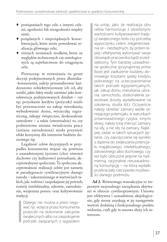- ♦ powiązaniach tego celu z innymi celami, zgodności lub niezgodności między nimi;
- ♦ pożądanych i niepożądanych konsekwencjach, które może powodować realizacja głównego celu;
- ♦ różnych zestawach środków, które ze względów technicznych czy ontologicznych są najwłaściwsze do osiągnięcia celu.

Przenosząc te rozważania na grunt decyzji podejmowanych przez dłużnika- -konsumenta, należy przeanalizować każdorazowo zobiektywizowany ich cel, aby ustalić, jakie fakty miały zaistnieć jako konsekwencja podejmowanych działań – czy np. pozyskanie kredytu (pożyczki) miało być przeznaczone na zakup mieszkania, wybudowanie domu, wycieczkę zagraniczną, zakupy świąteczne, doskonalenie zawodowe – a także (ewentualnie) to, czy podmiotowa zmiana świadczenia pracy (zmiana zatrudnienia) miała przynieść efekt korzystny dla interesów budżetu domowego itp.

Legalność celów decyzyjnych w przypadku konsumenta wiązać się powinna z uzasadnionymi życiowo (choć również duchowo czy kulturowo) potrzebami, akceptowalnymi społecznie. Ta społeczna akceptowalność realizacji celów jest zawarta w paradygmacie cywilizacyjnym danego narodu – zakorzenionego w wartościach takich, jak: rodzina i zaspokajanie jej potrzeb, rozwój intelektualny, zdrowie, zatrudnienie, wzajemna pomoc oraz kultywowanie tradycji.

Dlatego nie można *a priori* negować np. wzięcia przez konsumenta pożyczki na dokonanie zakupów świątecznych albo na zaspokojenie potrzeb związanych z wyjazdem

na urlop, jako że realizacja obu celów harmonizuje z określonymi wartościami: kultywowaniem tradycji świątecznego stołu czy potrzebą wypoczynku celem zregenerowania sił – niezbędnych, by potem lepiej i efektywniej wykonywać swoje obowiązki pracownika bądź przedsiębiorcy. Tym bardziej uzasadnione społecznie (przynajmniej *prima facie*) jest zadłużenie budżetu domowego kosztami spłaty kredytu pobranego na urzeczywistnienie takich potrzeb egzystencjalnych, jak: zakup domu, mieszkania, ubrania, samochodu, doskonalenie zawodowe (koszty wydatkowane na szkolenia, studia itd.). Oczywiście należy określać zamiary wedle istniejącego potencjału, w warunkach zrównoważonego ryzyka; innymi słowy, należy tutaj mierzyć zamiary na siły, a nie siły na zamiary. Najlepiej zadać w takich sytuacjach pytanie, czy zapożyczanie się wynikło z dążenia do zwiększania potencjału majątkowego, intelektualnego, zdrowotnego albo duchowego, czy też było obliczone jedynie na nadmierną, racjonalnie nieuzasadnioną konsumpcję – na którą wydatki przekraczały rzeczywiste możliwości danego podmiotu.

**Ad 2.** Równowaga transakcyjna to imperatyw racjonalnego zarządzania aktywami w obrocie cywilnoprawnym. Umowa jest efektywna i uzasadniona aksjologicznie, gdy strony uzyskują w jej następstwie wartość dodatnią z funkcjonalnego punktu widzenia, czyli gdy ta umowa służy ich interesom.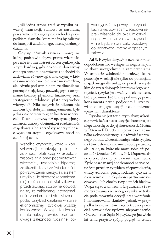Jeśli jedna strona traci w wyniku zawartej transakcji, stanowi to naturalną przesłankę refleksji, czy nie zachodzą przypadkiem zjawiska, które można by zaliczyć do kategorii zawinionego, intencjonalnego działania.

Gdy np. dłużnik zawiera umowę, na której podstawie zbywa prawa własności po cenie istotnie niższej od cen rynkowych, a tym bardziej, gdy dokonuje darowizny cennego przedmiotu, wówczas dochodzi do zachwiania równowagi transakcyjnej – które samo w sobie nie jest może niczym złym, ale jedynie pod warunkiem, że dłużnik ma potencjał majątkowy pozwalający na utrzymanie bieżącej płynności finansowej oraz strategicznej zdolności płatniczej wobec wierzycieli. Nikt oczywiście nikomu nie zabroni być dobrym samarytaninem, byle jednak nie odbywało się to kosztem wierzycieli. To samo dotyczy też np. sytuacyjnego zawarcia umowy obejmującej rozdzielność majątkową albo sprzedaży wierzytelności o wysokim stopniu egzekwowalności po zaniżonej cenie.

> Wszelkie czynności, które w konsekwencji obniżają potencjał zdolności płatniczej w aspekcie zaspokajania praw podmiotowych wierzycieli, uzasadniają hipotezę, że dłużnik działał ze świadomością pokrzywdzenia wierzycieli, a zatem umyślnie. Tę hipotezę (domniemanie) można jednak sfalsyfikować, przedstawiając stosowne dowody na to, że zakładanej intencjonalności zamiaru nie było. Można tu podać przykład działania w stanie ekonomicznej i życiowej wyższej konieczności. W wypadku konsumenta należy również brać pod uwagę zależności rodzinne, po

wodujące, że w pewnych przypadkach takie, powiedzmy, scedowanie praw własności do lokalu mieszkalnego – w zamian za tzw. dożywocie – nie będzie stwarzało podstawy do negatywnej oceny w opisanym zakresie.

**Ad 3.** Ryzyko decyzyjne oznacza prawdopodobieństwo wystąpienia negatywnych skutków, niezgodnych z zamierzeniami. W aspekcie zdolności płatniczej, która pozostaje w relacji nie tylko do potencjału majątkowego dłużnika, ale przede wszystkim do uzasadnionych interesów jego wierzycieli, ryzyko jest ważnym elementem, które powinno być brane pod uwagę przez konsumenta przed podjęciem i urzeczywistnieniem jego decyzji o ekonomiczno- -prawnym charakterze.

Ryzyko nie jest też niczym złym; w końcu prawie każda nasza decyzja obarczona jest niepewnością co do jej skuteczności. Można za Peterem F. Druckerem powiedzieć, że nie tylko z ekonomicznego, ale również z prawnego punktu widzenia istnieje takie ryzyko, na które człowiek nie może sobie pozwolić, ale i takie, na które nie może sobie *nie* pozwolić (Drucker 1954, s. 54). Dopuszczalne ryzyko ekskulpuje z zarzutu zawinienia. Życie nasze w swej codzienności naznaczone jest przecież ryzykiem niepowodzenia, utraty zdrowia, pracy, rodziny, ryzykiem nieuczciwości i nielojalności partnerów życiowych – lub choćby ryzykiem ich błędów. Wiąże się to z koniecznością zważenia i zamortyzowania rzeczonego ryzyka w trakcie podejmowania decyzji oraz wdrażania i monitorowania skutków, jednak w przypadku konsumentów często trudno przecież przewidzieć życiowe niepowodzenie. Orzecznictwo Sądu Najwyższego już wiele lat temu przyjęło spójny pogląd na temat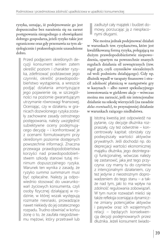ryzyka, uznając, iż podejmowanie go jest dopuszczalne bez narażenia się na zarzut postępowania niezgodnego z obowiązkami dobrego gospodarza, jeżeli ryzyko takie jest ograniczone oraz gdy przemawia za tym aksjologicznie i prakseologicznie uzasadnione dobro.

Przed podjęciem określonych decyzji konsument winien zatem określić poziom i charakter ryzyka, zdefiniować podstawowe jego czynniki, określić prawdopodobieństwo wystąpienia, a wreszcie podjąć działania amortyzujące jego pojawienie się, w szczególności na poziomie gwarantującym utrzymanie równowagi finansowej. Oceniając, czy w działaniu w granicach dozwolonego ryzyka zostały zachowane zasady ostrożnego postępowania, należy uwzględnić subiektywne oceny podejmującego decyzję – i konfrontować je z ocenami formułowanymi przy określonym poziomie dostępnych powszechnie informacji. Znaczna przewaga prawdopodobieństwa korzyści nad prawdopodobieństwem szkody stanowi tutaj minimum dopuszczalnego ryzyka. Warunek ten wynika z zasady, że ryzyko *summa summarum* musi być opłacalne. Należy ją odpowiednio stosować do uwarunkowań życiowych konsumenta, czyli osoby fizycznej działającej w rodzinie, w której wszak występują rozmaite niesnaski, prowadzące nawet niekiedy do jej ostatecznego rozpadu. Trudno obwiniać w końcu żonę o to, że zaufała niegodziwemu mężowi, który przetrawił lub

zadłużył cały majątek i budżet domowy, porzucając ją z niespłaconymi długami.

 Nie można jednak podejmować działań w warunkach tzw. ryzykanctwa, które jest kwalifikowaną formą ryzyka, polegającą na dużym prawdopodobieństwie niepowodzenia, opartym na powszechnie znanych regułach działania sił zewnętrznych (tzw. reguł gry, czyli czynników niezależnych od woli podmiotu działającego). Gdy np. dłużnik wpadł w tarapaty finansowe i stracił zdolność płatniczą w następstwie gry w kasynach – albo nawet spekulacyjnego inwestowania w giełdowe akcje – wówczas można mu zarzucić, jeśli nie intencjonalne działanie na szkodę wierzycieli (na zasadzie *dolus eventualis*), to przynajmniej działanie w warunkach rażącego niedbalstwa.

Istotną kwestią jest odpowiedź na pytanie, czy decyzje dłużnika rozpraszały, czy też odwrotnie – koncentrowały kapitał; obniżały czy podwyższały wartości aktywów prywatnych. Jeśli dochodzi np. do deprecjacji wartości ekonomicznej majątku dłużnika, jego dezintegracji funkcjonalnej, wówczas należy się zastanowić, jaka jest tego przyczyna: czy mamy tu do czynienia z intencjonalnym działaniem, czy też jedynie z nieostrożnym doprowadzeniem do tego stanu – a także nad tym, jaki to ma wpływ na zdolność regulowania zobowiązań. W tym nurcie rozważań mieści się także refleksja oceniająca dynamiczne zmiany potencjałów aktywów i pasywów oraz ich wzajemnych relacji – będących konsekwencją decyzji podejmowanych przez dłużnika. Jeżeli konsument świado-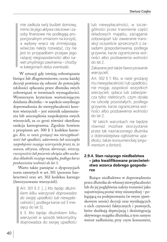mie zadłuża swój budżet domowy, mimo że jego aktywa rzeczowe i zasoby finansowe nie podlegają proporcjonalnym zmianom na korzyść, a wpływy wręcz się zmniejszają, wówczas należy rozważyć, czy nie jest to przypadkiem przejaw jego rażącej niegospodarności albo nawet umyślnego zawinienia – choćby w kategoriach *dolus eventualis*.

 W sytuacji gdy istnieją zobowiązania bieżące lub długoterminowe, ocena każdej decyzji powinna się odnosić do potencjału zdolności spłacania przez dłużnika swych zobowiązań w terminach wymagalności. Wymiernym kryterium wartościującym działania dłużnika – w aspekcie umyślnego doprowadzenia do niewypłacalności kosztem wierzycieli – jest miernik udaremnienia lub uszczuplenia zaspokojenia owych wierzycieli, za co grozi również określona sankcja karnoprawna. Zgodnie bowiem z przepisem art. 300 § 1 kodeksu karnego: *Kto, w razie grożącej mu niewypłacalności lub upadłości, udaremnia lub uszczupla zaspokojenie swojego wierzyciela przez to, że usuwa, ukrywa, zbywa, darowuje, niszczy, rzeczywiście lub pozornie obciąża albo uszkadza składniki swojego majątku, podlega karze pozbawienia wolności do lat 3*.

Warto także pamiętać o dyspozycjach norm zawartych w art. 301 (pozorne bankructwo) oraz art. 302 kodeksu karnego (faworyzowanie wierzycieli).

Art. 301 § 2: […] *Kto będąc dłużnikiem kilku wierzycieli doprowadza do swojej upadłości lub niewypłacalności* [, podlega karze od 3 miesięcy do lat 5].

§ 3. Kto będąc dłużnikiem kilku wierzycieli w sposób lekkomyślny doprowadza do swojej upadłości lub niewypłacalności, w szczególności przez trwonienie części składowych majątku, zaciąganie zobowiązań lub zawieranie transakcji oczywiście sprzecznych z zasadami gospodarowania, podlega grzywnie, karze ograniczenia wolności albo pozbawienia wolności do lat 2.

Zakazane jest także faworyzowanie wierzycieli:

Art. 302 § 1: Kto, w razie grożącej mu niewypłacalności lub upadłości, nie mogąc zaspokoić wszystkich wierzycieli, spłaca lub zabezpiecza tylko niektórych, czym działa na szkodę pozostałych, podlega grzywnie, karze ograniczenia wolności albo pozbawienia wolności do lat 2.

 W takich warunkach nie będzie również możliwe skorzystanie przez tak naznaczonego dłużnika z dobrodziejstwa ogłoszenia upadłości, także konsumenckiej (*argumentum a fortiori*).

#### **2.9.4. Stan rażącego niedbalstwa – jako kwalifikowane przeciwieństwo wzorca dobrego gospodarza**

Rażące niedbalstwo w doprowadzeniu przez dłużnika do własnej niewypłacalności lub do jej pogłębienia należy rozumieć jako najostrzejszą postać winy nieumyślnej – polegającą na podejmowaniu (w swym zjawiskowym sensie) decyzji oraz wynikających z nich czynności faktycznych i prawnych, które skutkują deprecjacją i dezintegracją aktywnego majątku dłużnika, a tym samym wzrost zadłużenia; przy czym konsument,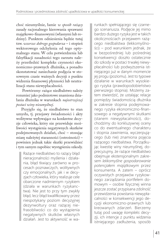choć nieumyślnie, łamie *w sposób rażący* zasady racjonalnego kierowania sprawami majątkowo-finansowymi (własnymi lub rodziny). Punktem odniesienia będzie tutaj tzw. *wzorzec dobrego gospodarza* – i stopień wektorowego odchylenia od tego optymalnego stanu. W celu potwierdzenia lub falsyfikacji zasadności tego zarzutu należy prześledzić kompleks czynności ekonomiczno-prawnych dłużnika, a ponadto skonstatować zaniechanie podjęcia w stosownym czasie ważnych decyzji z punktu widzenia finansowej płynności lub neutralizacji stanu niewypłacalności.

 Powtórzmy: rażące niedbalstwo należy rozumieć jako podmiotowe znamiona działania dłużnika w warunkach *najostrzejszej postaci winy nieumyślnej*.

Przyjęło się, że niedbalstwo to stan umysłu, tj. przejawy świadomości i akty wolitywne wpływające na konkretne decyzje człowieka, który nie przewiduje możliwości wystąpienia negatywnych skutków podejmowanych działań, choć – stosując miarę należytej staranności (ostrożności) – powinien jednak takie skutki przewidzieć i tym samym zapobiec wystąpieniu szkody.

Rażące niedbalstwo to rażący błąd nieracjonalności myślenia i działania, błąd tkwiący zarówno w procesach poznawczych, wolitywnych czy emocjonalnych, jak i w decyzjach człowieka, który realizuje cele obarczone nadmiernym ryzykiem (działa w warunkach ryzykanctwa). Nie jest to przy tym zwykły błąd, lecz błąd kwalifikowany przez niespotykany poziom decyzyjnej dezynwoltury oraz rażącej niefrasobliwości co do wystąpienia negatywnych skutków własnych działań. Jest to aktywność w wa-

runkach spełniającego się czarnego scenariusza. Podjęcie jej mimo bardzo dużego ryzyka jest w takich okolicznościach przejawem rażącego niedbalstwa (lekkomyślności) – pod warunkiem jednak, że w bezpośredniej lub pośredniej konsekwencji doszło ostatecznie do szkody w postaci trwałej niewypłacalności lub podwyższenia istniejącego już w danym momencie jej progu (poziomu). Jest to typowe działanie w warunkach wysokiego ryzyka (prawdopodobieństwo pierwszego stopnia). Możemy zatem stwierdzić, że ustalając relacje pomiędzy świadomością dłużnika w zakresie stopnia podejmowanego ryzyka ekonomiczno-finansowego a negatywnymi skutkami (stanem niewypłacalności), dochodzimy do konkluzywnej oceny co do ewentualnego charakteru i stopnia zawinienia, wyczerpującego (lub nie) znamiona pojęcia rażącego niedbalstwa. Porządkując kwestię winy nieumyślnej, doprecyzujmy, że rażące niedbalstwo obejmuje ekstensjonalnym zakresem *lekkomyślne gospodarowanie potencjałem majątkowym* przez konsumenta. A zatem – oprócz oczywistych przejawów ryzykownego zarządzania portfelem domowym – osobie fizycznej winna jeszcze zostać przypisana zdolność przewidzenia powstania niewypłacalności w konsekwencji jego decyzji ekonomiczno-prawnych lub kreowanych zdarzeń. Bierzemy tutaj pod uwagę *kompleks* decyzji, ich intencje z punktu widzenia istniejącego zadłużenia, sposób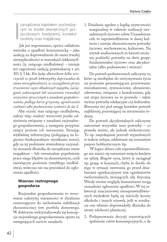zarządzania kapitałem pochodzącym ze źródeł zewnętrznych (pożyczkowym, kredytami), kontekst osobisty oraz majątkowy.

 Jak już wspomniano, oprócz oddalenia wniosku o upadłość konsumencką – jako sankcją za doprowadzenie do stanu trwałej niewypłacalności w warunkach lekkomyślności (tj. rażącego niedbalstwa) – istnieje też zagrożenie sankcją prawnokarną z art. 301 § 3 kk: *Kto będąc dłużnikiem kilku wierzycieli w sposób lekkomyślny doprowadza do stanu niewypłacalności, w szczególności przez trwonienie części składowych majątku, zaciąganie zobowiązań lub zawieranie transakcji oczywiście sprzecznych z zasadami gospodarowania, podlega karze grzywny, ograniczenia wolności albo pozbawienia wolności do lat 2.*

Aby ocenić stan rażącego niedbalstwa, należy więc znaleźć wzorcowy punkt odniesienia związany z zasadami racjonalnego gospodarowania, a następnie przypisać rażący poziom ich naruszenia. Stosując wykładnię inferencyjną (polegającą na logiczno-funkcjonalnym wynikaniu norm), gdy na tej podstawie stwierdzimy racjonalny stosunek dłużnika do zarządzania swym majątkiem – lub ewentualnie popełnienie przez niego błędów na elementarnym, czyli nierażącym poziomie (zwykłego niedbalstwa), wówczas nie ma przeszkód do ogłoszenia upadłości.

#### **Wzorzec roztropnego gospodarza**

Racjonalne gospodarowanie to stosowanie należytej staranności w działaniu zmierzającym do zachowania stabilizacji ekonomicznej tzw. portfela domowego. W doktrynie wykrystalizowała się koncepcja racjonalnego gospodarowania oparta na następujących sześciu zasadach:

1. Działania zgodne z logiką użyteczności marginalnej w zakresie realizacji uzasadnionych życiowo celów. Uzasadnione cele to usprawiedliwione w danej kulturze i ustroju ekonomicznym potrzeby życiowe, wychowawcze, kulturowe. Na użytek analizowanych tu kwestii możemy podzielić potrzeby na dwie grupy: fundamentalne życiowo oraz akcydentalne (albo podstawowe i wtórne).

Do potrzeb podstawowych zaliczymy te, które są niezbędne do utrzymywania życia na poziomie gwarantującym przetrwanie: mieszkaniowe, żywnościowe, ubraniowe, zdrowotne, związane z kształceniem; gdy zaś stopa życiowa na to pozwala – także wyższe potrzeby edukacyjne czy kulturalne. Bierzemy też pod uwagę kontekst potrzeb najbliższej, pozostającej na utrzymaniu rodziny.

Do potrzeb akcydentalnych zaliczymy natomiast wszystkie inne potrzeby – co prawda ważne, ale jednak niekonieczne. To np. zaspokajanie potrzeb wyjazdowych w trakcie urlopu, oddawanie się rozmaitym pasjom hobbystycznym itp.

 W logice zbioru celu usprawiedliwionego nie mieści się natomiast wzięcie kredytu na spłatę długów syna, który je zaciągnął np. grając w kasynach, chyba że doszło do tego w sytuacji ratowania go przed działaniami egzekucyjnymi tzw. egzekutorów nieformalnych, stosujących siłę fizyczną. Wtedy istotne względy humanitarne mogą uzasadniać ogłoszenie upadłości. W tej sekwencji znaczeniowej nieusprawiedliwionych wydatków będą się mieściły koszty alkoholu i innych używek, jeśli w rezultacie one właśnie doprowadziły dłużnika do utraty zdolności płatniczej.

2. Podejmowania decyzji stanowiących spełnienie celów konsumpcyjnych, o ile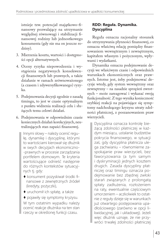istnieje tzw. potencjał majątkowo-finansowy pozwalający na utrzymanie względnej równowagi i stabilizacji finansowej rodziny lub jednostkowego konsumenta (gdy nie ma on jeszcze rodziny).

- 3. Mierzenia kosztu, wartości i dostępności opcji alternatywnych.
- 4. Oceny ryzyka niepowodzenia i wystąpienia negatywnych konsekwencji finansowych lub prawnych, a także działanie w ramach zrównoważonego (a czasem i zdywersyfikowanego) ryzyka.
- 5. Podejmowania decyzji zgodnie z zasadą timingu, to jest w czasie optymalnym z punktu widzenia realizacji celu i służących temu celowi działań.
- 6. Podejmowania w odpowiednim czasie koniecznych działań korekcyjnych, neutralizujących stan zapaści finansowej.

Innymi słowy – należy ocenić regułę, dynamikę i dyscyplinę, którymi to wartościami kierował się dłużnik w swych decyzjach ekonomiczno- -prawnych w procesie zarządzania portfelem domowym. Te kryteria wartościujące odnieść następnie do różnych kontekstów sytuacyjnych tj. gdy:

- ♦ konsument pozyskiwał środki finansowe z zewnętrznych źródeł (kredyty, pożyczki),
- ♦ uruchomił ich spłatę, a także

♦ pojawiły się symptomy kryzysu. W tym ostatnim wypadku należy ocenić reakcje dłużnika na ten stan rzeczy w określonej funkcji czasu.

#### **RDD: Reguła. Dynamika. Dyscyplina**

Reguła oznacza racjonalny stosunek do utrzymywania płynności finansowej, co oznacza właściwą relację pomiędzy finansowaniem wewnętrznym i zewnętrznym, kapitałem własnym i pożyczonym, wpływami i wydatkami.

Dynamika oznacza podejmowanie decyzji we właściwym czasie i odpowiednich warunkach ekonomicznych oraz prawnych. Istotne jest, żeby podejmować decyzje wtedy, gdy system wewnętrzny oraz zewnętrzny – na zasadzie sprzężeń zwrotnych – może zareagować i wykazać swoją funkcjonalność. Z tego wynika konieczność szybkiej reakcji na pojawiające się symptomy nadchodzącego kryzysu utraty zdolności płatniczej, z poszanowaniem praw wierzycieli.

Dyscyplina oznacza kontrolę bieżącą zdolności płatniczej w każdym miesiącu, ustalanie budżetów pokrycia finansowego, w sytuacji zaś, gdy dyscyplina płatnicza ulega zachwianiu – równomierne zaspokajanie praw wierzycieli, bez faworyzowania (a tym samym i dyskryminacji) jednych kosztem drugich. Zasada dyscypliny płatniczej oraz timingu oznacza podejmowanie bez zbędnej zwłoki starań związanych z prolongatą spłaty zadłużenia, rozłożeniem na raty, ewentualnie częściowym umorzeniem – aczkolwiek to ostatnie z reguły dzieje się w warunkach już otwartego postępowania upadłościowego (zarówno w opcji likwidacyjnej, jak i układowej). Jeżeli więc dłużnik uznaje, że nie przywróci trwałej zdolności płatniczej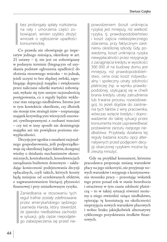bez prolongaty spłaty rozłożenia na raty i umorzenia części zobowiązań, winien szybko złożyć wniosek o ogłoszenie upadłości konsumenckiej.

Co prawda nie obowiązuje go imperatyw jednego miesiąca, określony w art. 21 ustawy – tj. nie jest on zobowiązany w podanym terminie (biegnącym od uzyskania podstaw ogłoszenia upadłości) do złożenia stosownego wniosku – to jednak, jeżeli uczyni to bez zbędnej zwłoki, zapobiegając deprecjacji majątku i zwiększaniu przez naliczane odsetki wartości zobowiązań, wykaże się tym samym racjonalnością postępowania, co z reguły będzie wykluczać stan rażącego niedbalstwa. Istotne jest w tym kontekście określenie, czy dłużnik nie stosuje tzw. strategii żniw – rozpraszając majątek krzywdzącymi wierzycieli umowami cywilnoprawnymi z osobami trzecimi – czy też w inny sposób nie dezintegruje majątku ani nie powiększa poziomu niewypłacalności.

Decyzja jest zgodna z zasadami racjonalnego gospodarowania, jeśli podporządkowuje się określonej logice faktów, dostępnej wiedzy o działaniu mechanizmów ekonomicznych, kontrahentach, konsekwencjach zarządzania budżetem domowym – zakładając konieczność podejmowania decyzji opłacalnych, czyli takich, których koszty będą mniejsze od oczekiwanych efektów, z zagwarantowaniem bieżącej płynności finansowej i przy umiarkowanym ryzyku.

> Zaniedbania w stosowaniu tych reguł trafnie zostały zdefiniowane przez amerykańskiego sędziego Learneda Handa, który stwierdził, że zjawisko niedbalstwa zachodzi w sytuacji, gdy ciężar niepodjętego zabezpieczenia się przed nie

powodzeniem (koszt uniknięcia ryzyka) jest mniejszy, niż wielkość ryzyka, tj. prawdopodobieństwo i koszt zajścia niebezpiecznego zdarzenia, przy faktycznym zaistnieniu określonej szkody. Gdy, powiedzmy, koszt uniknięcia ryzyka niewypłacalności przez rezygnację z zaciągnięcia kredytu w wysokości 300 000 zł na budowę domu jest mniejszy, niż prawdopodobieństwo, cena oraz koszt indywidualny i społeczny utraty zdolności płatniczej (np. w wyniku prawdopodobnej, szykującej się w chwili brania kredytu utraty zatrudnienia lub trwania procesu rozwodowego), to jeżeli dojdzie do zaistnienia tych faktów z winy pracownika, wówczas wzięcie kredytu i doprowadzenie do takiej sytuacji przez konsumenta może usprawiedliwiać postawienie zarzutu *rażącego niedbalstwa*. Przykłady działania tej reguły badania kosztu opcji alternatywnych przed podjęciem decyzji obarczonej ryzykiem można by zresztą mnożyć.

Gdy na przykład konsument, któremu pracodawca proponuje zmianę warunków płacy na jego niekorzyść, nie przyjmuje nowych warunków i rezygnuje z kontynuowania stosunku pracy – pozostając wskutek tego przez ponad rok w stanie bezrobocia i utraciwszy w tym czasie zdolność płatniczą – to w takiej sytuacji również możemy u niego stwierdzić rażące niedbalstwo, opierając tę konstatację na okoliczności nieprzyjęcia nowych warunków płacowych i wobec braku jakiejkolwiek alternatywy cyklicznego pozyskiwania środków finansowych.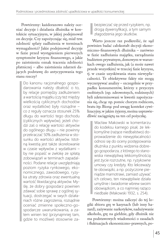Powtórzmy: każdorazowo należy oceniać decyzje i działania dłużnika w kontekście sytuacyjnym, w jakiej podejmował on decyzje. Czy zapożyczając się, miał tzw. zdolność spłaty zadłużenia w terminach wymagalności? Jakie podejmował decyzje w fazie przed wystąpieniem pierwszych symptomów kryzysu finansowego, a jakie po zaistnieniu oznak tracenia zdolności płatniczej – albo zaistnienia zdarzeń dających podstawę do antycypowania tego stanu rzeczy?

> Do kanonu racjonalnego gospodarowania należy dbałość o to, by relacje pomiędzy zadłużeniem a wartością majątku (czy też między wielkością cyklicznych dochodów oraz wydatków) były rozsądne – co z reguły oznacza stosunek 25% długu do wartości tego dochodu (cyklicznych wpływów); jeżeli chodzi zaś o relację wartości aktywów do ogólnego długu – nie powinny przekraczać 50% zadłużenia w stosunku do wartości aktywów. Istotną kwestią jest także skorelowanie w czasie wpływów z wydatkami – by nie popaść w zwłokę ze spłatą zobowiązań w terminach zapadalności. Podane relacje uwzględniają poziom ryzyka rynkowego, ekonomicznego, zawodowego, ryzyka utraty zdrowia oraz ewentualną wartość likwidacyjną aktywów. Myślę, że dobry gospodarz powinien zdawać sobie sprawę z ogólnej sytuacji, dostrzegać w swych działaniach różne zagrożenia, rozsądnie oceniać zmienne społeczno-gospodarcze uwarunkowania, a zatem winien też (przynajmniej tam, gdzie to możliwe) stosownie za-

bezpieczać się przed ryzykiem, np. drogą dywersyfikacji, a tym samym złagodzenia jego skutków.

Warto jeszcze raz podkreślić, że sąd powinien badać całokształt decyzji ekonomiczno-finansowych dłużnika – zarówno w fazie zadłużania majątku, zarządzania budżetem prywatnym, domowym w warunkach owego zadłużenia, jak (a może nawet przede wszystkim) w trzeciej fazie kryzysu, tj. w czasie uzyskiwania stanu niewypłacalności. Te obiektywne fakty nie mogą wyczerpywać analizy – szczególnie w przypadku konsumentów, którzy z przyczyn osobistych (np. zdrowotnych, rodzinnych) byli zdeterminowani w kwestii zapożyczania się, chcąc np. pomóc chorym rodzicom, bratu itp. Biorąc pod uwagę kontekst cywilizacyjny, w jakim żyjemy, można usprawiedliwić zaciągniętą na ten cel pożyczkę.

Wacław Makowski w komentarzu do kodeksu karnego pisał, że lekkomyślne (rażące niedbalstwo) doprowadzenie do niewypłacalności odnosi się do oceny postępowania dłużnika z punktu widzenia dobrego gospodarza, z którego to stanowiska niewątpliwą lekkomyślnością jest życie rozrzutne, np. ryzykowne umowy czy kredyty. Kto lekceważy te obowiązki, a np. pożyczone pieniądze marnotrawi, zamiast używać ich celowo, ten niewątpliwie działa umyślnie i świadomie wbrew swoim obowiązkom, a co najmniej rażąco niedbale (Makowski 1932, s. 254).

Powtórzmy: można zaliczyć do tej logiki zbioru grę w kasynach (lub inny hazard), zażywanie narkotyków, nadużywanie alkoholu, grę na giełdzie, gdy dłużnik nie ma podstawowych wiadomości o zasadach i fluktuacjach ekonomiczno-prawnych, po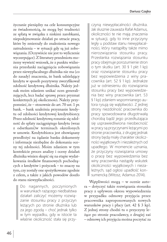życzanie pieniędzy na cele konsumpcyjne ze świadomością, że mogą być trudności ze spłatą w związku z niskimi zarobkami, niepodejmowanie działań po utracie pracy, które by zmierzały do znalezienia nowego zatrudnienia – w sytuacji gdy są już zobowiązania. (Oczywiście nie jest to wyliczenie wyczerpujące). Z literatury przedmiotu możemy wywieść wniosek, że z punktu widzenia przesłanki zaciągnięcia zobowiązania przez niewypłacalnego dłużnika nie ma (co do zasady) znaczenia, że bank udzielający kredytu w sposób pozytywny zweryfikował zdolność kredytową dłużnika. Należy jednak moim zdaniem unikać ocen generalizujących, lecz badać sprawę przez pryzmat konkretnych jej okoliczności. Należy przypomnieć, że – stosownie do art. 70 ust. 1 pr. bank. – bank uzależnia przyznanie kredytu od zdolności kredytowej kredytobiorcy. Przez zdolność kredytową rozumie się zdolność do spłaty zaciągniętego kredytu (wraz z odsetkami)w terminach określonych w umowie. Kredytobiorca jest obowiązany przedłożyć na żądanie banku dokumenty i informacje niezbędne do dokonania oceny tej zdolności. Moim zdaniem w tym kontekście proces analizy i oceny działań dłużnika winien skupić się na etapie wydatkowania środków finansowych pochodzących z kredytów i pożyczek – to znaczy na tym, czy zostały one spożytkowane zgodnie z celem, a także z jakich powodów doszło do stanu niewypłacalności.

Do nagannych, poczynionych w warunkach rażącego niedbalstwa działań zaliczyć możemy rozwiązanie stosunku pracy z przyczyn leżących po stronie dłużnika lub za jego zgodą – choć jednak tylko w tym wypadku, gdy w istocie ta właśnie okoliczność stała się przyczyną niewypłacalności dłużnika. Jak słusznie zauważa Rafał Adamus, okoliczności te nie mają znaczenia w sytuacji, gdy to inne przyczyny legły u podstaw stanu niewypłacalności, który nastąpiłby także mimo nierozwiązania stosunku pracy. Przesłanka rozwiązania stosunku pracy obejmuje porozumienie stron o tym skutku (art. 30 § 1 pkt 1 kp) oraz rozwiązanie stosunku pracy bez wypowiedzenia z winy pracownika (art. 52 § 1 kp). Jednakże już w odniesieniu do rozwiązania stosunku pracy bez wypowiedzenia bez winy pracownika (art. 53 § 1 kp) zdaniem wspomnianego autora rysują się wątpliwości. Z jednej strony niezdolność pracownika do pracy spowodowana długotrwałą chorobą bądź jego przedłużająca się usprawiedliwiona nieobecność w pracy są przyczynami leżącymi po stronie pracownika, z drugiej jednak strony będą miały charakter okoliczności wyjątkowych i niezależnych od upadłego. W momencie uznania, że przyczyny rozwiązania umowy o pracę bez wypowiedzenia bez winy pracownika nastąpiły wskutek okoliczności wyjątkowych i niezależnych, sąd ogłosi upadłość konsumencką (Witosz, Adamus 2014).

Wątpliwości mogą – w ocenie autora – dotyczyć także rozwiązania stosunku pracy z upływem okresu wypowiedzenia w przypadku odmowy przyjęcia przez pracownika zaproponowanych nowych warunków pracy i płacy (art. 42 § 3 kp). Z jednej strony chodzi tu o przyczyny leżące po stronie pracodawcy, z drugiej zaś – odmowę ich przyjęcia można poczytać za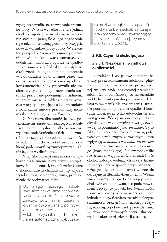zgodę pracownika na rozwiązanie stosunku pracy. W tym wypadku nie tyle jednak chodzi o zgodę pracownika na rozwiązanie stosunku pracy, ile o jego pogodzenie się z taką konsekwencją odmowy przyjęcia nowych warunków pracy i płacy. W efekcie ten przypadek rozwiązania umowy o pracę nie powinien skutkować automatycznym oddaleniem wniosku o ogłoszenie upadłości konsumenckiej. Jednakże niewątpliwie okoliczność ta będzie miała znaczenie w całokształcie dokonywanej przez sąd oceny przesłanek ogłoszenia upadłości konsumenckiej. Gdy pracownik nie ma alternatywy dla takiego rozwiązania stosunku pracy i nie podejmuje zatrudnienia w innym miejscu i zakładzie pracy, wówczas z reguły nieprzyjęcie takich warunków i rozwiązanie umowy pracowniczej może uzyskać *status rażącego niedbalstwa*.

Dłużnik może albo bronić się przed potencjalnymi zarzutami rażącego niedbalstwa czy też umyślności, albo samoistnie wykazać brak istnienia takich okoliczności – wskazując, jakie racjonalne czynności i działania (choćby nawet obarczone ryzykiem) podejmował, by zmniejszyć zadłużenie bądź je wyeliminować.

W tej filozofii myślenia mieści się wykazanie zaistnienia niezależnych i wyjątkowych okoliczności, np. *vis maior* (także o ekonomicznym charakterze, np. kryzys, wysoka stopa bezrobocia), wina, przyczynienie się osoby trzeciej itd.

Do kategorii rażącego niedbalstwa albo nawet umyślnego działania na zasadzie *dolus eventualis* zaliczyć powinniśmy działania dłużnika dokonywane z pokrzywdzeniem wierzycieli – z tym że w takich przypadkach jest to przesłanka automatyczna, wykluczają-

ca możliwość ogłoszenia upadłości (pod warunkiem jednak, że istnieje prawomocny wyrok stwierdzający bezskuteczność takiej czynności – opartą na art. 527 kc).

#### **2.9.5. Czynniki ekskulpujące**

#### **2.9.5.1. Niezależne i wyjątkowe okoliczności**

Niezależne i wyjątkowe okoliczności utraty przez konsumenta zdolności płatniczej, mimo że nie stanowią już wyrażonej *expressis verbis* pozytywnej przesłanki zdolności upadłościowej, to na zasadzie wykładni funkcjonalnej stanowią dalej istotny wskaźnik dla stwierdzenia istnienia podstaw do ogłoszenia upadłości konsumenckiej, jeżeli tylko udowodni się ich wystąpienie. Wiążą się one z czynnikami określanymi w doktrynie prawa (o czym wyżej wspomniano) jako *vis maior*. Są to fakty o charakterze ekonomicznym, politycznym psychicznym, zdrowotnym, które wpływają na zasadzie warunku *sine qua non* na płynność finansową budżetu domowego (konsumenckiego). Należy podkreślić raz jeszcze: wyjątkowość i niezależność okoliczności powodujących kryzys finansowy wyklucza w sposób oczywisty zarzut rażącego błędu (niedbalstwa) w procesie decyzyjnym dłużnika-konsumenta. Wszak wina nieumyślna oparta na rażącym niedbalstwie znamionowana jest podejmowaniem decyzji, co prawda bez świadomości i zamiaru pokrzywdzenia wierzycieli, lecz jednak z pogwałceniem zasady należytej staranności oraz zrównoważonego ryzyka, nakazującej obowiązek przewidywania skutków podejmowanych decyzji finansowych w określonej sekwencji czasowej.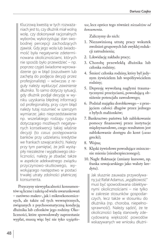Kluczową kwestią w tych rozważaniach jest to, czy dłużnik miał wolną wolę, czy dokonywał racjonalnych wyborów, wykorzystując stan swobodnej percepcji zachodzących zjawisk. Gdy jego wola lub świadomość była negatywnie zdeterminowana okolicznościami, których nie sposób było przewidzieć – np. poprzez czyjeś świadome wprowadzenie go w błąd (oszustwem lub zachętą do podjęcia decyzji przez profesjonalistę) – wówczas z reguły należy *wykluczyć zawinienie dłużnika*. To samo dotyczy sytuacji, gdy dłużnik podjął decyzję w wyniku uzyskania błędnej informacji od profesjonalisty, przy czym błąd należy tutaj rozumieć w szerszym wymiarze: jako nieprzedstawienie np. wszelakiego rodzaju ryzyka dotyczącego możliwych negatywnych konsekwencji takiej właśnie decyzji (to *casus* postępowania banków przy udzielaniu kredytów we frankach szwajcarskich). Należy przy tym pamiętać, że jeśli wystąpiły niezależne i wyjątkowego okoliczności, należy je zbadać także w aspekcie adekwatnego związku przyczynowo-skutkowego, wywołującego następstwo w postaci trwałej utraty zdolności płatniczej konsumenta.

Przyczyny niewypłacalności konsumentów są liczne i zależą od wielu uwarunkowań – zarówno makro-, jak i mikroekonomicznych, ale także od tych wewnętrznych, związanych z psychosomatyczną kondycją dłużnika lub członków jego rodziny. Okoliczności, które spowodowały zaprzestanie wypłat, muszą więc być nie tyko *wyjątko-* *we*, lecz oprócz tego również *niezależne od konsumenta*.

Zaliczymy do nich:

- 1. Niezawinioną utratę pracy wskutek zwolnień grupowych lub zwyklej redukcji zatrudnienia;
- 2. Likwidację zakładu pracy;
- 3. Chorobę przewlekłą dłużnika lub członka rodziny;
- 4. Śmierć członka rodziny, który był jedynym żywicielem lub współżywicielem rodziny;
- 5. Depresję wywołaną nagłymi traumatycznymi przeżyciami, powodującą obniżenie potencjału zawodowego;
- 6. Podział majątku dorobkowego z przejęciem całości długów przez jednego z byłych małżonków;
- 7. Bankructwo państwa lub zablokowanie pomocy finansowej przez instytucje międzynarodowe, czego rezultatem jest zablokowanie dostępu do kont (*casus* grecki);
- 8. Wojna;
- 9. Klęski żywiołowe powodujące zniszczenie mienia (nieubezpieczonego);
- 10. Nagłe fluktuacje (zmiany kursowe, np. franka szwajcarskiego jako waluty kredytu).

Jak słusznie zauważa przywoływany już Rafał Adamus, "wyjątkowość" musi być spowodowana obiektywnymi okolicznościami – nie tylko w zakresie stosunków gospodarczych, lecz także w stosunku do dłużnika (np. choroba, niepełnosprawność). Należy sądzić, że te okoliczności będą stanowiły zdecydowaną większość powodów wskazywanych we wniosku dłużni-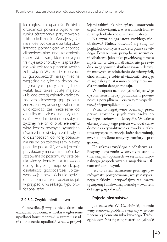ka o ogłoszenie upadłości. Praktyka orzecznicza powinna pójść w kierunku *obostrzenia* przyjmowania takich okoliczności. Wydaje się, że nie może być uznane za taką okoliczność popadnięcie w chorobę alkoholową albo inne uzależnienia (narkotyki, hazard), które medycyna traktuje jako choroby – i zaprzestanie wskutek tego płacenia swoich zobowiązań. W zakresie okoliczności gospodarczych należy mieć na względzie nie tylko np. dekoniunkturę na rynku pracy, zmianę kursu walut, lecz także utratę majątku (lub jego części) wskutek kradzieży, zdarzenia losowego (np. pożaru, zniszczenia wywołanego zalaniem). Okoliczności zaś niezależne od dłużnika to – jak można przypuszczać – w odniesieniu do osoby fizycznej nie tylko brak elementu winy, lecz w pewnych sytuacjach również brak wiedzy o zaistniałych okolicznościach, do której posiadania nie był on zobowiązany. Należy ponadto podkreślić, że w tej ocenie przykładamy miarę staranności dostosowaną do poziomu wykształcenia, wiedzy i kontekstu kulturowego osoby fizycznej nieprowadzącej działalności gospodarczej lub zawodowej; z pewnością nie będzie ona zatem na takim poziomie, jak w przypadku wszelkiego typu profesjonalistów.

#### **2.9.5.2. Zwykłe niedbalstwo**

Po nowelizacji zwykłe niedbalstwo nie uzasadnia oddalenia wniosku o ogłoszenie upadłości konsumentowi, a zatem uzasadnia ogłoszenie upadłości wraz z przywilejami takimi jak plan spłaty i umorzenie części zobowiązań, a w warunkach humanitarnych okoliczności – nawet całości.

Na czym polega istota zwykłego niedbalstwa? Należy odwołać się tutaj do poglądów doktryny z zakresu prawa cywilnego. Powszechnie przyjęło się rozumieć niedbalstwo jako fakt psychiczny, proces myślenia, w którym dłużnik nie przewiduje negatywnych skutków swoich decyzji finansowych w odniesieniu do wierzycieli, choć winien je sobie uświadomić, stosując miarę należytej staranności przyjmowanej dla stosunku danego rodzaju.

Wina oparta na nieumyślności jest więc dysonansem między porządkiem powinności a porządkiem – czy w tym wypadku raczej nieporządkiem – bytu.

Wina to negatywnie oceniany przez prawo stosunek psychiczny osoby do swojego zachowania (decyzji). W zakres ekstensjonalny tego pojęcia wchodzi świadomość i akty wolitywne człowieka, a także towarzyszące im emocje, które determinują zwykle określone motywy, zamiary i pragnienia.

Do zakresu zwykłego niedbalstwa zaliczymy naruszenie w zwykłym stopniu (nierażącym) opisanych wyżej zasad racjonalnego gospodarowania majątkiem i finansami domowymi.

Jest to zatem naruszenie pewnego paradygmatu postępowania, wciąż nazywanego niekiedy – przywołajmy raz jeszcze tę zręczną i adekwatną formułę – "wzorem dobrego gospodarza".

#### **Pojęcie niedbalstwa**

Jak zauważa W. Czachórski, stopnie winy stanowią problem związany w istocie z oceną jej elementu subiektywnego. Tradycyjnie odróżnia się w tej materii umyślność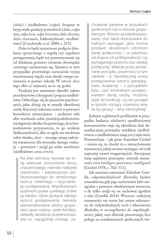(*dolus*) i niedbalstwo (*culpa*). Stopnie te kryją wiele gradacji pośrednich (*dolus*, *culpa lata*, *culpa levis*, *culpa levissima*, *dolus directus*, *dolus eventualis*, lekkomyślność, niedbalstwo) [Czachórski *et al.* 2009, s. 255].

*Dolus* to bądź zamierzone podjęcie działania sprzecznego z regułą czy regułami postępowania, bądź też powstrzymanie się od działania pomimo istnienia obowiązku czynnego zachowania się. Sprawca w tym przypadku przewiduje naruszenie wyżej wymienionej reguły oraz skutki owego naruszenia w postaci szkody. W istocie chce tego albo co najmniej na to się godzi.

Trudniej jest natomiast określić zakres przedmiotowy (desygnaty) pojęcia niedbalstwa. Odwołując się do procesów psychicznych, jakie dzieją się w umyśle określonej osoby fizycznej (adresata norm) w pewnym kontekście sytuacyjnym – podmiot taki albo wyobraża sobie prawdopodobieństwo wystąpienia skutku bezprawnego, lecz bezpodstawnie przypuszcza, że go uniknie (lekkomyślność), albo w ogóle nie wyobraża sobie skutku, choć – stosując miarę należytej staranności dla stosunku danego rodzaju – powinien i mógł go sobie wyobrazić (niedbalstwo *sensu stricto*).

> Na plan pierwszy wysuwa się tutaj właściwe zrozumienie sensu znaczeniowego *miernika należytej staranności* – każdorazowo zrelatywizowanego do określonego wzorca rzetelnego i racjonalnego postępowania. Współczesnym systemom prawa cywilnego znane są bardzo różne postacie takiego wzorca postępowania; niekiedy spersonalizowane (dobry gospodarz, ojciec rodziny – *pater familias*), niekiedy określone przedmiotowo. Jest to, najogólniej mówiąc, za

chowanie staranne w stosunkach społecznych lub w obrocie gospodarczym. Wzorce są zobiektywizowane, choć także dostosowane do realnych wymagań, jakie można postawić określonym członkom danej społeczności – w zależności od stopnia ich profesjonalności czy wymaganego poziomu tzw. wiedzy podręcznej. Właśnie przez porównanie porządku powinności w tym zakresie – tj. hipotetycznej oceny postępowania wzorca (paradygmatu działania) – z porządkiem bytu, czyli konkretnym postępowaniem danej osoby, możemy dojść do konkluzji, czy ten postąpił w sposób noszący znamiona winy (w tej sytuacji – winy nieumyślnej).

Jednym z głównych problemów w przypadku badania zdolności upadłościowej konsumentów staje się określenie linii demarkacyjnej pomiędzy zwykłym niedbalstwem a niedbalstwem rażącym (*culpa lata*). Powszechnie – jak pisze Stanisław Grobel – uważa się, że chodzi tu o niezachowanie staranności, jakiej można wymagać od osób najmniej nawet rozgarniętych. Stosujemy tutaj najniższy przeciętny miernik staranności (*non intellegere quod omnes intellegunt*) [Grobel 1978, s. 702–711].

Jak zauważa natomiast Zdzisław Gawlik, odpowiedzialność dłużnika będzie uzasadniona, gdy jego zachowanie było niezgodne z pewnym obiektywnym wzorcem, o ile tylko mógł się on zachować zgodnie z nim (Gawlik 2014). Wzorzec należytej staranności nie może być zatem odnoszony do indywidualnych cech i właściwości dłużnika, w szczególności do zapobiegliwości, jakiej sam dłużnik przestrzega, lecz polega na oczekiwaniach społecznych wo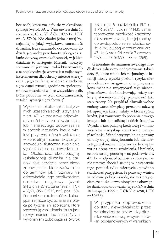bec osób, które znalazły się w określonej sytuacji (wyrok SA w Warszawie z dnia 15 stycznia 2013 r., VI ACa 1077/12, LEX nr 1315740). Nie chodzi jednak tutaj bynajmniej o jakąś wyjątkową staranność dłużnika, lecz staranność dostosowaną do działającej osoby, przedmiotu, jakiego działanie dotyczy, oraz okoliczności, w jakich działanie to następuje. Miernik należytej staranności jest więc zobiektywizowany, a ta obiektywizacja wzorca jest najlepszym instrumentem dla ochrony interesu wierzyciela i jego zaufania, że dłużnik zachowa się w danej sytuacji zgodnie ze społecznymi oczekiwaniami wobec wszystkich osób, które podobnie w tych okolicznościach, w takiej sytuacji się zachowają".

Wykazanie okoliczności faktycznych uzasadniających uczynienie z art. 471 kc podstawy odpowiedzialności z tytułu niewykonania lub nienależytego zobowiązania w sposób naturalny kreuje wielość przyczyn, których wykazanie w konkretnym stanie faktycznym spowoduje skuteczne zwolnienie się dłużnika od odpowiedzialności. Okoliczności ekskulpacyjnej (eskalacyjnej) dłużnika nie stanowi fakt przyjęcia przez niego zobowiązania, które zarówno co do terminów, jak i rozmiaru nie odpowiadało jego możliwościom osobistym i majątkowym (wyrok SN z dnia 27 stycznia 1972 r., I CR 458/71, OSNC 1972, nr 9, poz. 160). Podobnie za okoliczność ekskulpującą nie może być uznana ani praca polityczna, ani społeczna, które spowodują zaniedbania skutkujące niewykonaniem lub nienależytym wykonaniem zobowiązania (wyrok

SN z dnia 5 października 1971 r., II PR 202/71, LEX nr 14143). Sama teoretyczna możliwość kradzieży nie stanowi jeszcze, bez jej choćby uprawdopodobnienia, okoliczności ekskulpującej w rozumieniu art. 471 kc (wyrok SN z dnia 7 czerwca 1973 r., I PR 163/73, LEX nr 7269).

Generalnie do znamion zwykłego niedbalstwa zaliczymy podejmowanie takich decyzji, które mimo ich racjonalnych intencji niosły wysoki poziom ryzyka niepowodzenia w osiągnięciu celu, przy czym konsument nie antycypował tego niebezpieczeństwa, choć dochowując miary należytej staranności, mógł przewidzieć taki stan rzeczy. Na przykład dłużnik wobec zmiany warunków płacy przez pracodawcę lub aprecjacji kursu waluty, w której spłaca kredyt, jest zmuszony do pobrania nowego kredytu lub konsolidacji takich środków. Wpada w tzw. pułapkę kredytową i – mimo wysiłków – uzyskuje stan trwałej niewypłacalności. Współprzyczynienie się strony umowy do jej niewykonania lub nienależytego wykonania nie pozostaje bez wpływu na ocenę stanu zawinienia. Ustalenie, że obie strony ponoszą – na podstawie art. 471 kc – odpowiedzialność za niewykonanie umowy, chociaż szkodę w następstwie tego poniósł tylko wierzyciel, powinno skutkować przyjęciem, że pozwany winien w połowie pokryć szkodę, nie zaś przyjęciem, że dłużnik zwolniony jest z obowiązku dania odszkodowania (wyrok SN z dnia 18 listopada 1999 r., I CKN 214/98, LEX nr 50686).

W przypadku doprowadzenia do stanu niewypłacalności przez współmałżonka bez wiedzy dłużnika-wnioskodawcy, w wyniku działań podejmowanych w warunkach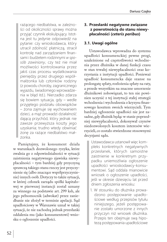rażącego niedbalstwa, w zależności od okoliczności sprawy można przyjąć czynnik ekskulpujący. Istotna jest tu jedynie odpowiedź na pytanie: czy wnioskodawca, który utracił zdolność płatniczą, stracił kontrolę nad zarządzaniem finansami i budżetem rodzinnymi *w sposób zawiniony*, czy też nie miał możliwości kontrolowania przez jakiś czas procesu wydatkowania pieniędzy przez drugiego współmałżonka lub członków rodziny (z powodu choroby, zagranicznego wyjazdu, świadomego wprowadzenia w błąd itd.). Nierzadko zdarza się bowiem sytuacja, gdy – wedle przyjętego podziału obowiązków – żona zajmuje się wychowaniem dzieci, a mąż prowadzi działalność dającą przychód, który jednak nie zawsze przewyższa koszty jego uzyskania; trudno wtedy obwiniać żonę za rażące niedbalstwo małżonka.

Pamiętajmy, że konsument działa w warunkach dozwolonego ryzyka, które zwalnia go z odpowiedzialności w sytuacji zaistnienia negatywnego zjawiska niewypłacalności – tym bardziej gdy przyczyną sprawczą takiego stanu rzeczy jest przyczynienie się (albo znaczące współprzyczynienie) innych osób. Dotyczy to także sytuacji, w której członek zarządu spółki kapitałowej w pierwszej instancji został uznany za winnego na podstawie art. 299 ksh, ale jego pełnomocnik (adwokat) przez zaniedbanie nie złożył w terminie apelacji. Sąd upadłościowy w Warszawie uznał w takiej sytuacji, że nie zachodzą jednak przesłanki oddalenia mu (jako konsumentowi) wniosku o ogłoszenie upadłości.

#### **3. Przesłanki negatywne związane z powrotnością do stanu niewypłacalności (***ceteris paribus***)**

#### **3.1. Uwagi ogólne**

Ustawodawca wprowadza do systemu upadłości konsumenckiej pewne progi, uzależnione od częstotliwości wchodzenia przez dłużnika w danej funkcji czasu w stan trwałej niewypłacalności oraz korzystania z instytucji upadłości. Ponieważ upadłość konsumencka daje szanse na prolongatę spłaty, rozłożenia spłaty na raty, a przede wszystkim na znaczne umorzenie dłużnikowi zobowiązań, to ten nie powinien uczynić z tej instytucji stałej strategii wchodzenia i wychodzenia z kryzysu finansowego kosztem swoich wierzycieli. Tym bardziej ogłoszenie upadłości nie jest zasadne, gdy dłużnik będąc w stanie poprzedniej niewypłacalności, dokonywał czynów niedozwolonych kosztem interesów wierzycieli, co zostało stwierdzone stosownymi decyzjami sądu.

Ustawodawca ustanowił więc kompleks konkretnych negatywnych przesłanek, których samoistne zaistnienie w konkretnym przypadku uniemożliwia ogłoszenie upadłości wnioskodawcy-konsumentowi. Sąd oddala mianowicie wniosek o ogłoszenie upadłości, jeśli w okresie dziesięciu lat przed dniem zgłoszenia wniosku:

1. W stosunku do dłużnika prowadzono postępowanie upadłościowe według przepisów tytułu niniejszego, jeżeli postępowanie zostało umorzone z innych przyczyn niż wniosek dłużnika. Przepis ten obejmuje swą hipotezą postępowania upadłościowe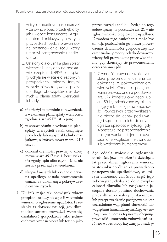w trybie upadłości gospodarczej – zarówno wobec przedsiębiorcy, jak i wobec konsumenta. Argumentem konkluzywnym w tych przypadkach będzie prawomocne postanowienie sądu, który umorzył postępowanie upadłościowe.

- 2. Ustalony dla dłużnika plan spłaty wierzycieli uchylono na podstawie przepisu art. 491<sup>20</sup>; plan spłaty uchyla się w ściśle określonych przypadkach, między innymi w razie niewykonywania przez upadłego obowiązków określonych w planie spłaty wierzycieli lub gdy:
- a) nie złożył w terminie sprawozdania z wykonania planu spłaty wierzycieli zgodnie z art. 491<sup>18</sup> ust. 3 pun;
- b) w sprawozdaniu z wykonania planu spłaty wierzycieli zataił osiągnięte przychody lub nabyte składniki majątkowe, o których mowa w art. 491<sup>18</sup> ust. 3;
- c) dokonał czynności prawnej, o której mowa w art. 49118 ust. 1, bez uzyskania zgody sądu albo czynność ta nie została przez sąd zatwierdzona;
- d) ukrywał majątek lub czynność prawna upadłego została prawomocnie uznana za dokonaną z pokrzywdzeniem wierzycieli.
- 3. Dłużnik, mając taki obowiązek, wbrew przepisom ustawy nie zgłosił w terminie wniosku o ogłoszenie upadłości. Przesłanka ta dotyczy sytuacji, gdy dłużnik-konsument prowadził wcześniej działalność gospodarczą jako jednoosobowy przedsiębiorca lub też np. jako

prezes zarządu spółki – będąc do tego zobowiązany na podstawie art. 21 – nie zgłosił wniosku o ogłoszenie upadłości. Dowodem tego zaniechania może być sankcja pozbawienia go prawa prowadzenia działalności gospodarczej lub ewentualne procesy odszkodowawcze wierzycieli prowadzone przeciwko niemu, gdy skończyły się prawomocnymi orzeczeniami sądu.

- 4. Czynność prawna dłużnika została prawomocnie uznana za dokonaną z pokrzywdzeniem wierzycieli. Chodzi o postępowania prowadzone na podstawie art. 527 kodeksu cywilnego lub art. 59 kc, zakończone wyrokiem mającym klauzulę prawomocności. Powyższych przeciwwskazań nie bierze się jednak pod uwagę i sąd – mimo ich istnienia – ogłasza upadłość w sytuacji, gdy skonstatuje, że przeprowadzenie postępowania jest jednak uzasadnione względami słuszności lub względami humanitarnymi.
- 5. Sąd oddala wniosek o ogłoszenie upadłości, jeżeli w okresie dziesięciu lat przed dniem zgłoszenia wniosku w stosunku do dłużnika prowadzono postępowanie upadłościowe, w którym umorzono całość lub część jego zobowiązań, chyba że do niewypłacalności dłużnika lub zwiększenia jej stopnia doszło pomimo dochowania przez dłużnika należytej staranności lub przeprowadzenie postępowania jest uzasadnione względami słuszności lub względami humanitarnymi. *Lege non distinguente* hipoteza tej normy obejmuje przypadki umorzenia zobowiązań zarówno wobec osoby fizycznej prowadzą-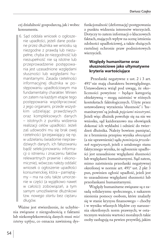cej działalność gospodarczą, jak i wobec konsumenta.

6. Sąd oddala wniosek o ogłoszenie upadłości, jeżeli dane podane przez dłużnika we wniosku są niezgodne z prawdą lub niezupełne, chyba że niezgodność lub niezupełność nie są istotne lub przeprowadzenie postępowania jest uzasadnione względami słuszności lub względami humanitarnymi. Zasada rzetelności informacyjnej dłużnika w postępowaniu upadłościowym ma fundamentalny charakter. Winien on zatem na każdym etapie tego postępowania współpracować z jego organami, przede wszystkim udzielając prawdziwych oraz kompleksowych danych – istotnych z punktu widzenia realizacji celów upadłości. Jeżeli zaś udowodni mu się brak owej rzetelności (przejawiający się np. w udzielaniu świadomie nieprawdziwych danych, ich fałszowaniu bądź selekcjonowaniu informacji o istnieniu i znaczeniu faktów relewantnych prawnie i ekonomicznie), wówczas należy oddalić wniosek o ogłoszenie upadłości konsumenckiej, która – pamiętajmy – ma na celu także umorzenie w części (a wyjątkowo nawet w całości) zobowiązań, a tym samym umożliwienie dłużnikowi tzw. *nowego startu* bez ciężaru długów.

Ważne jest stwierdzenie, że uchybienia związane z niezgodnością z faktami lub niekompleksowością danych musi *mieć istotny wpływ*, co oznacza zawinioną dys-

funkcjonalność (deformację) postępowania z punktu widzenia interesów wierzycieli. Dotyczy to zatem informacji o kluczowych faktach, mających wpływ na ocenę istnienia zdolności upadłościowej, a także służących rzetelnej ochronie praw podmiotowych wierzycieli.

#### **Względy humanitarne oraz słusznościowe jako ultymatywne kryteria wartościujące**

 Przesłanki negatywne z ust. 2 i 3 art. 4914 nie mają charakteru bezwzględnego. Ustawodawca wziął pod uwagę, że okoliczności powyższe – będące kategorią obiektywną – mogą zaistnieć w różnych kontekstach faktologicznych. Użyte przez ustawodawcę wyrażenia 'słuszność' i 'humanitaryzm' są jednak *pojęciami nieostrymi*. Jeżeli więc dłużnik powołuje się na nie we wniosku, sąd każdorazowo ma obowiązek dokonać ich wykładni i odnieść do twierdzeń dłużnika. Należy bowiem pamiętać, że z brzmienia przepisu wynika *obowiązek* (a nie uprawnienie) sądu *pominięcia przesłanek negatywnych*, jeżeli z ustalonego stanu faktycznego wynika, że ogłoszenie upadłości jest uzasadnione względami słuszności lub względami humanitarnymi. Sąd zatem, mimo zaistnienia przesłanki negatywnej określonej w normie art. 4914 ust. 2 pkt 3 pun, powinien ogłosić upadłość, jeżeli jest to uzasadnione względami słuszności lub przesłankami humanitarnymi.

Względy humanitarne związane są z zasadą solidaryzmu społecznego, z nakazem niesienia pomocy osobom, które znalazły się w stanie kryzysu finansowego – choćby i w wyniku własnych błędów czy naruszenia określonych norm prawnych; w ostatecznym ważeniu wartości moralnych takie osoby zasługują na pewien przywilej, jakim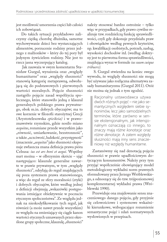jest możliwość umorzenia części lub całości ich zobowiązań.

Do takich sytuacji przykładowo zaliczymy ciężką chorobę dłużnika, samotne wychowywanie dzieci bez wystarczających alimentów, porzucenie rodziny przez jednego z małżonków – który do tej pory był jedynym żywicielem rodziny. Nie jest to rzecz jasna wyczerpujący katalog.

 Jak zauważa w swym komentarzu Stanisław Gurgul, wyrażenia oraz "względy humanitarne" oraz "względy słuszności" stanowią kategorię metaprawną, odwołującą się do podstawowych i pierwotnych wartości moralnych. Pojęcie słuszności zastąpiło pojęcie zasad współżycia społecznego, które stanowiło jedną z klauzul generalnych polskiego prawa prywatnego, obok m.in. dobrych obyczajów; ma to swe korzenie w filozofii starożytnej Grecji (Arystotelesowska *epieikeia)* i w prawoznawstwie rzymskim, gdzie nosiło miano *aequitas*, rozumiane przede wszystkim jako "równość, umiarkowanie, bezstronność", a także "uczciwość, ludzkość, przystępność" (znaczenie "*aequitas*" jako słuszności eksponuje zwłaszcza znana definicja prawa pióra Celsusa: *ius est ars boni et aequi.* Wspólny nurt można – w olbrzymim skrócie – ująć następująco: klauzule generalne zawarte w prawie prywatnym, w tym "względy słuszności", odsyłają do reguł znajdujących się poza systemem prawa stanowionego, a więc do reguł ze sfery moralności (etyki) i dobrych obyczajów, które według jednej z definicji obejmują "wskazówki postępowania istniejące obiektywnie w poczuciu etycznym społeczeństwa". Ze względu jednak na nieskodyfikowanie tych reguł, jak również (a może nawet przede wszystkim) ze względu na zmieniający się ciągle kanon wartości etycznych uznawanych przez określone grupy społeczne, klauzulę "słuszności"

należy stosować bardzo ostrożnie – tylko więc w przypadkach, gdy prawo cywilne realizuje tzw. rozdzielczą funkcję sprawiedliwości, czyli gdy dokonuje przydziału praw i obowiązków według pewnych kryteriów, np. kwalifikacji osobistych, potrzeb, zasług, wysokości dochodów itd. (według doktryny jest to pierwotna forma sprawiedliwości, znajdująca wyraz w formule *ius suum cuique tribuere).*

 S. Gurgul stwierdza na koniec swego wywodu, że względy słuszności nie mogą być używane jako rozłączna alternatywa zasady humanitaryzmu (Gurgul 2011). Otóż nie można się jednak z tym zgodzić.

> Racjonalny ustawodawca używa dwóch różnych pojęć – nie jako semantycznych względem siebie synonimów, lecz jako samodzielnych terminów, które zarówno w sensie ekstensjonalnym, jak intensjonalnym oznaczają co innego, to znaczy mają *różne konotacje* oraz *różne denotacje*. A zatem względy słuszności mają inny sens znaczeniowy niż względy humanitarne.

Zastanówmy się nad denotacją pojęcia słuszności w prawie upadłościowym dotyczącym konsumentów. Należy przy tym przyjąć współcześnie obowiązujący model metodologiczny wykładni norm prawnych sformułowany przez Jerzego Wróblewskiego, a odnoszący się do tzw. trójpoziomowej komplementarnej wykładni prawa (Wróblewski 1990).

Przewiduje ona znajdowanie sensu znaczeniowego danego pojęcia, gdy przyjmie się celowościowe i systemowe wskaźniki kierunkowe, wzbogacające rozumienie semantyczne pojęć i zdań normatywnych wysłowionych w przepisach.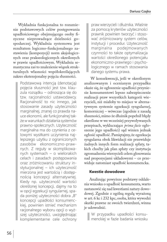Wykładnia funkcjonalna to rozumienie podstawowych celów postępowania upadłościowego obejmującego osoby fizyczne nieprowadzące dzielności gospodarczej. Wykładnia systemowa jest rezultatem logiczno-funkcjonalnego zastawienia (kompozycji) norm aksjologicznych oraz prakseologicznych określonych w prawie upadłościowym. Wykładnia semantyczna zaś to znalezienie wiązek strukturalnych własności współokreślających zakres ekstensjonalny pojęcia słuszności.

> Podstawową intencją (denotacją) pojęcia słuszności jest tzw. klauzula rozsądku – odnosząca się do tzw. racjonalności ustawodawcy. Racjonalność to nic innego, jak stosowanie zasady użyteczności marginalnej, znanej co prawda nauce ekonomii, ale funkcjonalnej także w warunkach działania systemów prawno-społecznych. Użyteczność marginalna ma do czynienia z celowymi wysiłkami uczynienia najlepszego użytku z ograniczonych zasobów ekonomiczno-prawnych. Z reguły w skomplikowanych systemach – o wielorakich celach i zasadach postępowania oraz zróżnicowaniu struktury instytucjonalnej – ich użyteczność mierzona jest wartością i dostępnością koncepcji alternatywnej. Kiedy np. użyteczność wartości określonej koncepcji, dajmy na to w opcji egzekucji syngularnej, spada poniżej użyteczności dobra "B" koncepcji upadłości konsumenckiej, powinien istnieć mechanizm racjonalnego wyboru opcji o wyższej użyteczności, uwzględniając komplementarne cele ochrony

praw wierzycieli i dłużnika. Właśnie za pomocą kryteriów użyteczności prawnik powinien tworzyć i stosować zróżnicowany system celów, instytucji i procedur. Użyteczność marginalna podejmowanych czynności to także optymalizacja wartości określonego potencjału ekonomiczno-prawnego i psychologicznego w ramach stosowania danego systemu prawa.

 W konsekwencji, jeśli w określonym analizowanym i ocenianym przypadku okaże się, że ogłoszenie upadłości przyniesie konsumentowi lepsze zabezpieczenie realizacji praw wszystkich kategorii wierzycieli, niż miałoby to miejsce w alternatywnym systemie egzekucji syngularnej, komorniczej – wówczas (zgodnie z zasadą słuszności, mimo że dłużnik popełnił błędy określone w we wcześniej przywoływanych przepisach, wykluczające *prima facie* ogłoszenie jego upadłości) sąd winien jednak ogłosić upadłość. Pamiętajmy, że egzekucja syngularna obok likwidacji nie przewiduje żadnych innych form realizacji spłaty, takich choćby jak plan spłaty czy instytucja zgromadzenia wierzycieli celem głosowania nad propozycjami układowymi – co przewiduje natomiast upadłość konsumencka.

#### **Kwestie dowodowe**

Analizując powyższe podstawy oddalenia wniosku o upadłość konsumenta, warto zastanowić się nad kwestiami natury dowodowej. Zgodnie z ogólną regułą wyrażoną w art. 6 kc i 232 kpc, osoba, która wywodzi skutki prawne ze swoich twierdzeń, winna je udowodnić.

W przypadku upadłości konsumenckiej w fazie badania wniosku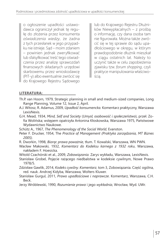o ogłoszenie upadłości ustawodawca ograniczył jednak tę regułę do złożenia przez konsumenta *oświadczenia wiedzy*, że żadna z tych przesłanek w jego przypadku nie istnieje. Sąd – moim zdaniem – powinien jednak zweryfikować lub sfalsyfikować treść tego oświadczenia przez analizę sprawozdań finansowych składanych urzędowi skarbowemu przez wnioskodawcę (PIT-y) albo ewentualnie zwrócić się do Krajowego Rejestru Sądowego

lub do Krajowego Rejestru Dłużników Niewypłacalnych – z prośbą o informację, czy dana osoba tam nie figurowała. Można także zwrócić się w tej sprawie do sądu upadłościowego w okręgu, w którym prawdopodobnie dłużnik mieszkał w ciągu ostatnich lat. Należy to uczynić także w celu zapobieżenia zjawisku tzw. *forum shopping*, czyli praktyce manipulowania właściwością.

#### **LITERATURA:**

- Th.P. van Hoorn, 1979, Strategic planning in small and medium-sized companies, Long Range Planning, Volume 12, Issue 2, April.
- A.J. Witosz, R. Adamus, 2009, *Upadłość konsumencka.* Komentarz praktyczny, Warszawa LexisNexis.
- G.H. Mead, 1934, *Mind, Self and Society* (*Umysł, osobowość i społeczeństwo*), przeł. Zofia Wolińska; wstępem opatrzyła Antonina Kłoskowska, Warszawa 1975, Państwowe Wydawnictwo Naukowe.
- Schütz A., 1967, *The Phenomenology of the Social World*, Evanston.
- Peter F. Drucker, 1954, The *Practice of Management (Praktyka zarządzania, MT Biznes 2005).*
- R. Dworkin, 1998, *Biorąc prawa poważnie*, tłum. T. Kowalski, Warszawa, WN PWN.
- Wacław Makowski, 1932, *Komentarz do Kodeksu karnego z 1932 roku*, Warszawa, nakładem F. Hoesicka.
- Witold Czachórski et al., 2009, *Zobowiązania.* Zarys wykładu, Warszawa, LexisNexis.
- Stanisław Grobel, Pojęcie rażącego niedbalstwa w kodeksie cywilnym, Nowe Prawo 1978/5.
- Zdzisław Gawlik, 2014, *Kodeks cywilny. Komentarz*, tom 3, Zobowiązania. Część ogólna, red. nauk. Andrzej Kidyba, Warszawa, Wolters Kluwer.
- Stanisław Gurgul, 2011, *Prawo upadłościowe i naprawcze*. Komentarz, Warszawa, C.H. Beck.
- Jerzy Wróblewski, 1990, *Rozumienie prawa* i jego *wykładnia*, Wrocław, Wyd. UWr.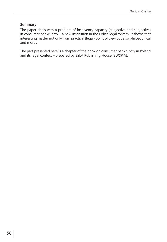#### **Summary**

The paper deals with a problem of insolvency capacity (subjective and subjective) in consumer bankruptcy – a new institution in the Polish legal system. It shows that interesting matter not only from practical (legal) point of view but also philosophical and moral.

The part presented here is a chapter of the book on consumer bankruptcy in Poland and its legal context – prepared by ESLA Publishing House (EWSPiA).